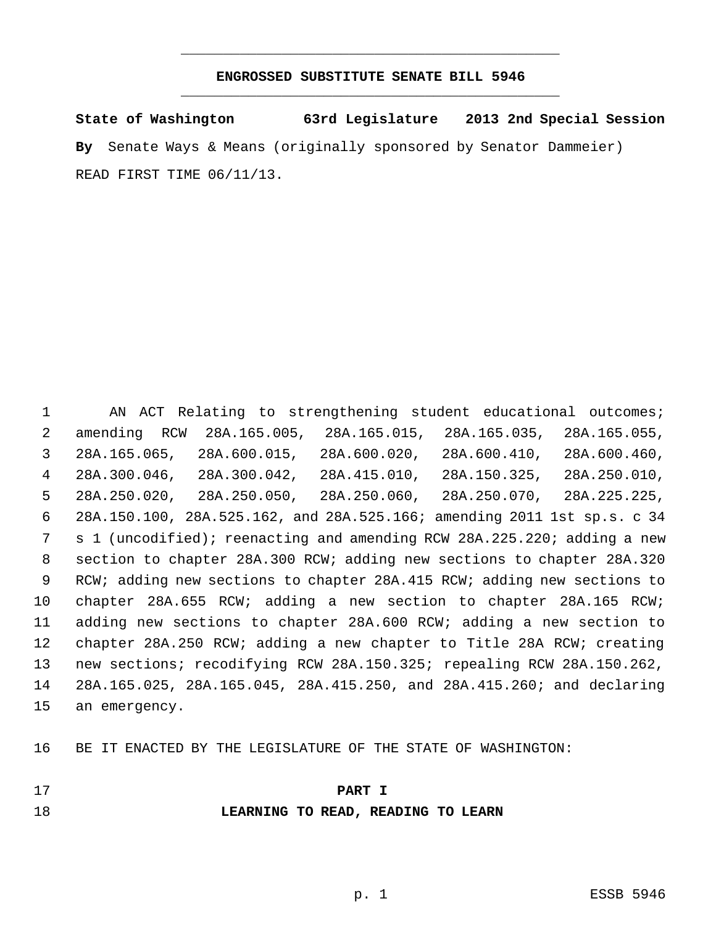## **ENGROSSED SUBSTITUTE SENATE BILL 5946** \_\_\_\_\_\_\_\_\_\_\_\_\_\_\_\_\_\_\_\_\_\_\_\_\_\_\_\_\_\_\_\_\_\_\_\_\_\_\_\_\_\_\_\_\_

\_\_\_\_\_\_\_\_\_\_\_\_\_\_\_\_\_\_\_\_\_\_\_\_\_\_\_\_\_\_\_\_\_\_\_\_\_\_\_\_\_\_\_\_\_

**State of Washington 63rd Legislature 2013 2nd Special Session By** Senate Ways & Means (originally sponsored by Senator Dammeier) READ FIRST TIME 06/11/13.

 AN ACT Relating to strengthening student educational outcomes; amending RCW 28A.165.005, 28A.165.015, 28A.165.035, 28A.165.055, 28A.165.065, 28A.600.015, 28A.600.020, 28A.600.410, 28A.600.460, 28A.300.046, 28A.300.042, 28A.415.010, 28A.150.325, 28A.250.010, 28A.250.020, 28A.250.050, 28A.250.060, 28A.250.070, 28A.225.225, 28A.150.100, 28A.525.162, and 28A.525.166; amending 2011 1st sp.s. c 34 s 1 (uncodified); reenacting and amending RCW 28A.225.220; adding a new section to chapter 28A.300 RCW; adding new sections to chapter 28A.320 RCW; adding new sections to chapter 28A.415 RCW; adding new sections to chapter 28A.655 RCW; adding a new section to chapter 28A.165 RCW; adding new sections to chapter 28A.600 RCW; adding a new section to chapter 28A.250 RCW; adding a new chapter to Title 28A RCW; creating new sections; recodifying RCW 28A.150.325; repealing RCW 28A.150.262, 28A.165.025, 28A.165.045, 28A.415.250, and 28A.415.260; and declaring an emergency.

BE IT ENACTED BY THE LEGISLATURE OF THE STATE OF WASHINGTON:

| ٧   |  |
|-----|--|
| . . |  |
|     |  |

### **PART I**

**LEARNING TO READ, READING TO LEARN**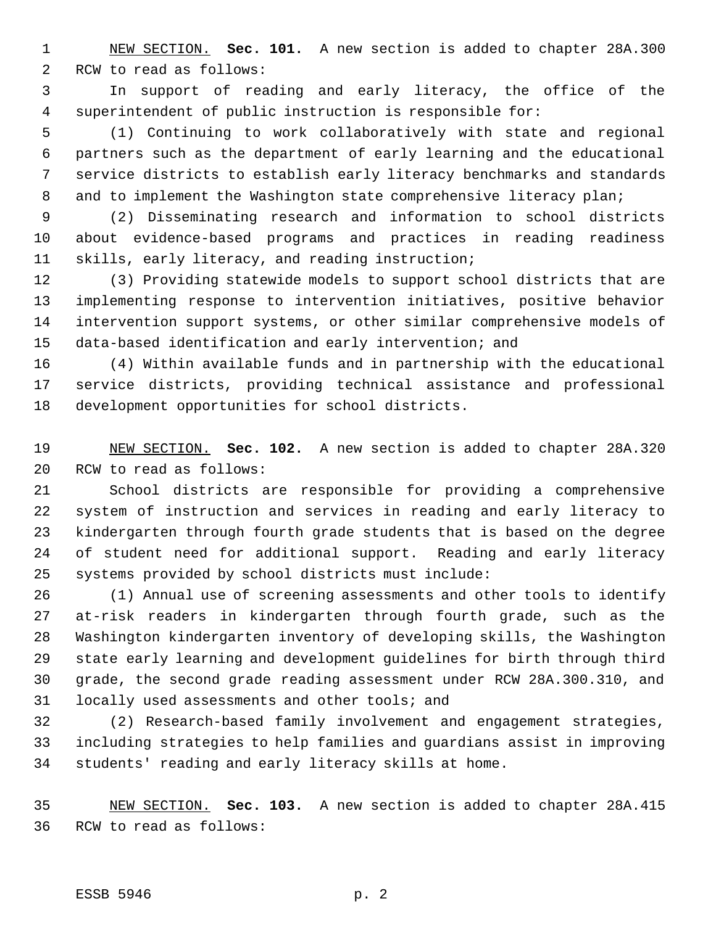NEW SECTION. **Sec. 101.** A new section is added to chapter 28A.300 RCW to read as follows:

 In support of reading and early literacy, the office of the superintendent of public instruction is responsible for:

 (1) Continuing to work collaboratively with state and regional partners such as the department of early learning and the educational service districts to establish early literacy benchmarks and standards 8 and to implement the Washington state comprehensive literacy plan;

 (2) Disseminating research and information to school districts about evidence-based programs and practices in reading readiness skills, early literacy, and reading instruction;

 (3) Providing statewide models to support school districts that are implementing response to intervention initiatives, positive behavior intervention support systems, or other similar comprehensive models of data-based identification and early intervention; and

 (4) Within available funds and in partnership with the educational service districts, providing technical assistance and professional development opportunities for school districts.

 NEW SECTION. **Sec. 102.** A new section is added to chapter 28A.320 RCW to read as follows:

 School districts are responsible for providing a comprehensive system of instruction and services in reading and early literacy to kindergarten through fourth grade students that is based on the degree of student need for additional support. Reading and early literacy systems provided by school districts must include:

 (1) Annual use of screening assessments and other tools to identify at-risk readers in kindergarten through fourth grade, such as the Washington kindergarten inventory of developing skills, the Washington state early learning and development guidelines for birth through third grade, the second grade reading assessment under RCW 28A.300.310, and locally used assessments and other tools; and

 (2) Research-based family involvement and engagement strategies, including strategies to help families and guardians assist in improving students' reading and early literacy skills at home.

 NEW SECTION. **Sec. 103.** A new section is added to chapter 28A.415 RCW to read as follows:

#### ESSB 5946 p. 2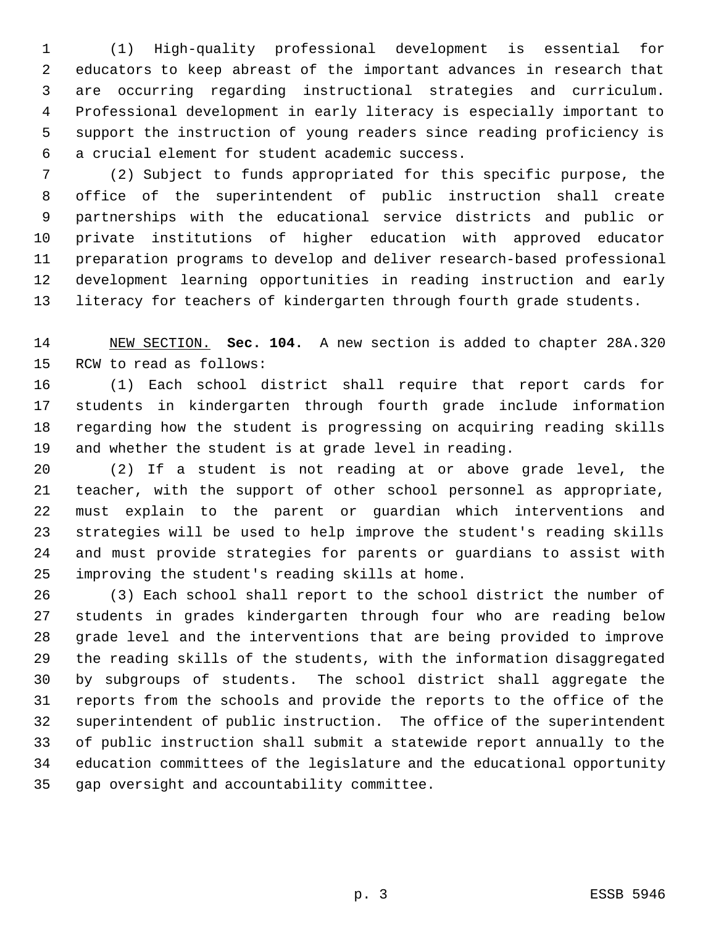(1) High-quality professional development is essential for educators to keep abreast of the important advances in research that are occurring regarding instructional strategies and curriculum. Professional development in early literacy is especially important to support the instruction of young readers since reading proficiency is a crucial element for student academic success.

 (2) Subject to funds appropriated for this specific purpose, the office of the superintendent of public instruction shall create partnerships with the educational service districts and public or private institutions of higher education with approved educator preparation programs to develop and deliver research-based professional development learning opportunities in reading instruction and early literacy for teachers of kindergarten through fourth grade students.

 NEW SECTION. **Sec. 104.** A new section is added to chapter 28A.320 RCW to read as follows:

 (1) Each school district shall require that report cards for students in kindergarten through fourth grade include information regarding how the student is progressing on acquiring reading skills and whether the student is at grade level in reading.

 (2) If a student is not reading at or above grade level, the teacher, with the support of other school personnel as appropriate, must explain to the parent or guardian which interventions and strategies will be used to help improve the student's reading skills and must provide strategies for parents or guardians to assist with improving the student's reading skills at home.

 (3) Each school shall report to the school district the number of students in grades kindergarten through four who are reading below grade level and the interventions that are being provided to improve the reading skills of the students, with the information disaggregated by subgroups of students. The school district shall aggregate the reports from the schools and provide the reports to the office of the superintendent of public instruction. The office of the superintendent of public instruction shall submit a statewide report annually to the education committees of the legislature and the educational opportunity gap oversight and accountability committee.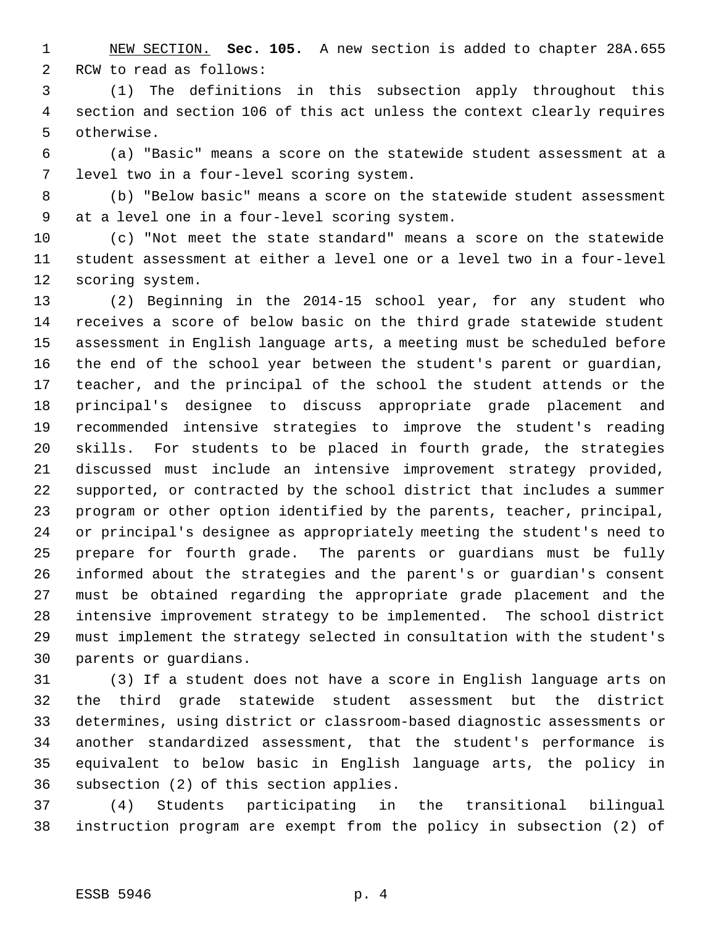NEW SECTION. **Sec. 105.** A new section is added to chapter 28A.655 RCW to read as follows:

 (1) The definitions in this subsection apply throughout this section and section 106 of this act unless the context clearly requires otherwise.

 (a) "Basic" means a score on the statewide student assessment at a level two in a four-level scoring system.

 (b) "Below basic" means a score on the statewide student assessment at a level one in a four-level scoring system.

 (c) "Not meet the state standard" means a score on the statewide student assessment at either a level one or a level two in a four-level scoring system.

 (2) Beginning in the 2014-15 school year, for any student who receives a score of below basic on the third grade statewide student assessment in English language arts, a meeting must be scheduled before the end of the school year between the student's parent or guardian, teacher, and the principal of the school the student attends or the principal's designee to discuss appropriate grade placement and recommended intensive strategies to improve the student's reading skills. For students to be placed in fourth grade, the strategies discussed must include an intensive improvement strategy provided, supported, or contracted by the school district that includes a summer program or other option identified by the parents, teacher, principal, or principal's designee as appropriately meeting the student's need to prepare for fourth grade. The parents or guardians must be fully informed about the strategies and the parent's or guardian's consent must be obtained regarding the appropriate grade placement and the intensive improvement strategy to be implemented. The school district must implement the strategy selected in consultation with the student's parents or guardians.

 (3) If a student does not have a score in English language arts on the third grade statewide student assessment but the district determines, using district or classroom-based diagnostic assessments or another standardized assessment, that the student's performance is equivalent to below basic in English language arts, the policy in subsection (2) of this section applies.

 (4) Students participating in the transitional bilingual instruction program are exempt from the policy in subsection (2) of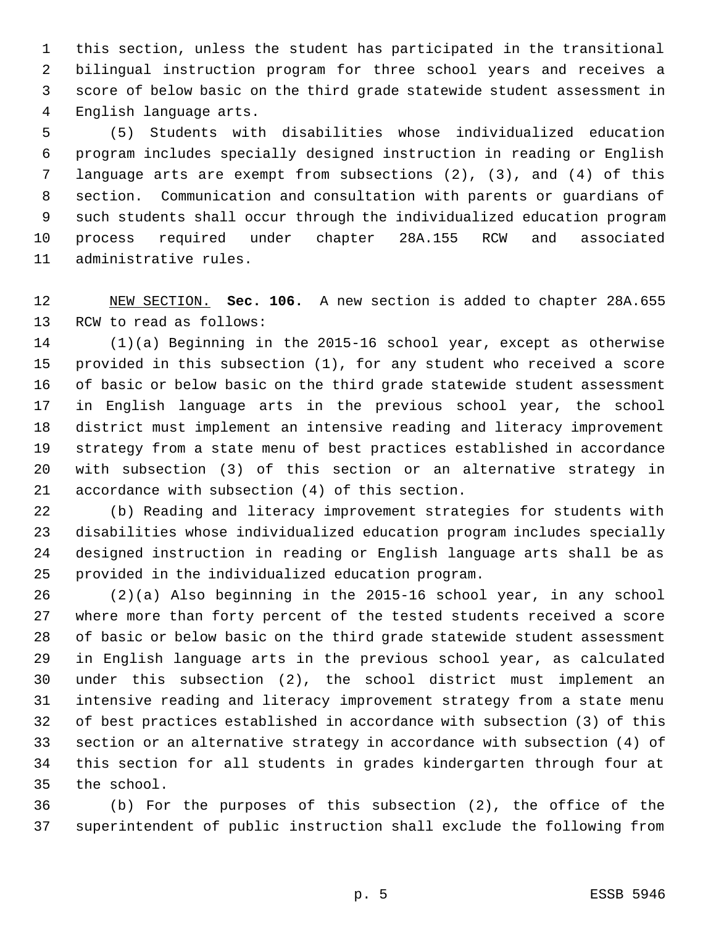this section, unless the student has participated in the transitional bilingual instruction program for three school years and receives a score of below basic on the third grade statewide student assessment in English language arts.

 (5) Students with disabilities whose individualized education program includes specially designed instruction in reading or English language arts are exempt from subsections (2), (3), and (4) of this section. Communication and consultation with parents or guardians of such students shall occur through the individualized education program process required under chapter 28A.155 RCW and associated administrative rules.

 NEW SECTION. **Sec. 106.** A new section is added to chapter 28A.655 RCW to read as follows:

 (1)(a) Beginning in the 2015-16 school year, except as otherwise provided in this subsection (1), for any student who received a score of basic or below basic on the third grade statewide student assessment in English language arts in the previous school year, the school district must implement an intensive reading and literacy improvement strategy from a state menu of best practices established in accordance with subsection (3) of this section or an alternative strategy in accordance with subsection (4) of this section.

 (b) Reading and literacy improvement strategies for students with disabilities whose individualized education program includes specially designed instruction in reading or English language arts shall be as provided in the individualized education program.

 (2)(a) Also beginning in the 2015-16 school year, in any school where more than forty percent of the tested students received a score of basic or below basic on the third grade statewide student assessment in English language arts in the previous school year, as calculated under this subsection (2), the school district must implement an intensive reading and literacy improvement strategy from a state menu of best practices established in accordance with subsection (3) of this section or an alternative strategy in accordance with subsection (4) of this section for all students in grades kindergarten through four at the school.

 (b) For the purposes of this subsection (2), the office of the superintendent of public instruction shall exclude the following from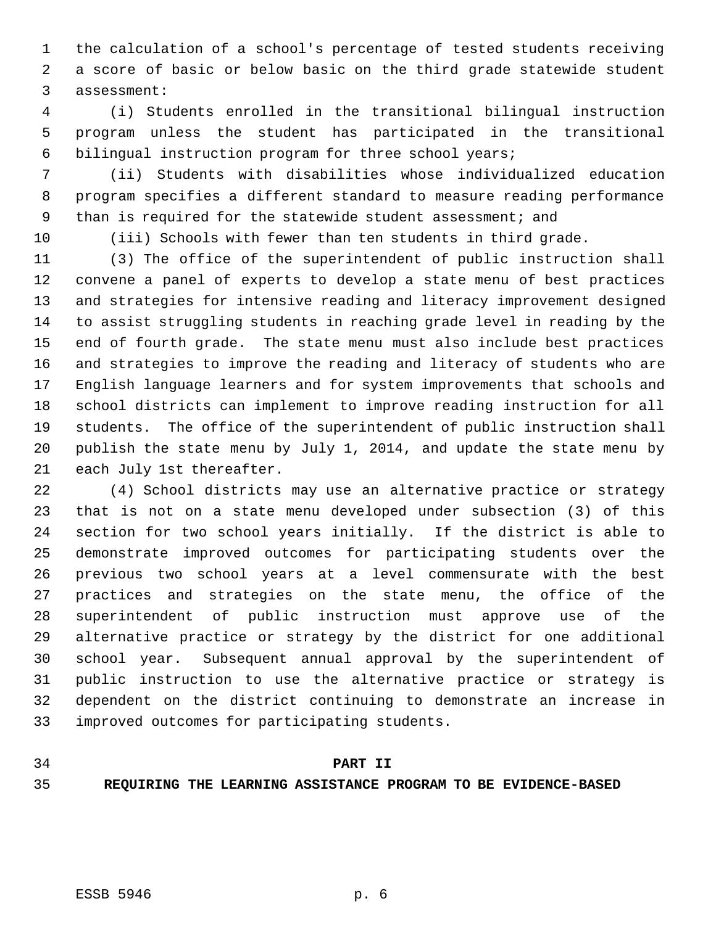the calculation of a school's percentage of tested students receiving a score of basic or below basic on the third grade statewide student assessment:

 (i) Students enrolled in the transitional bilingual instruction program unless the student has participated in the transitional bilingual instruction program for three school years;

 (ii) Students with disabilities whose individualized education program specifies a different standard to measure reading performance 9 than is required for the statewide student assessment; and

(iii) Schools with fewer than ten students in third grade.

 (3) The office of the superintendent of public instruction shall convene a panel of experts to develop a state menu of best practices and strategies for intensive reading and literacy improvement designed to assist struggling students in reaching grade level in reading by the end of fourth grade. The state menu must also include best practices and strategies to improve the reading and literacy of students who are English language learners and for system improvements that schools and school districts can implement to improve reading instruction for all students. The office of the superintendent of public instruction shall publish the state menu by July 1, 2014, and update the state menu by each July 1st thereafter.

 (4) School districts may use an alternative practice or strategy that is not on a state menu developed under subsection (3) of this section for two school years initially. If the district is able to demonstrate improved outcomes for participating students over the previous two school years at a level commensurate with the best practices and strategies on the state menu, the office of the superintendent of public instruction must approve use of the alternative practice or strategy by the district for one additional school year. Subsequent annual approval by the superintendent of public instruction to use the alternative practice or strategy is dependent on the district continuing to demonstrate an increase in improved outcomes for participating students.

## **PART II**

**REQUIRING THE LEARNING ASSISTANCE PROGRAM TO BE EVIDENCE-BASED**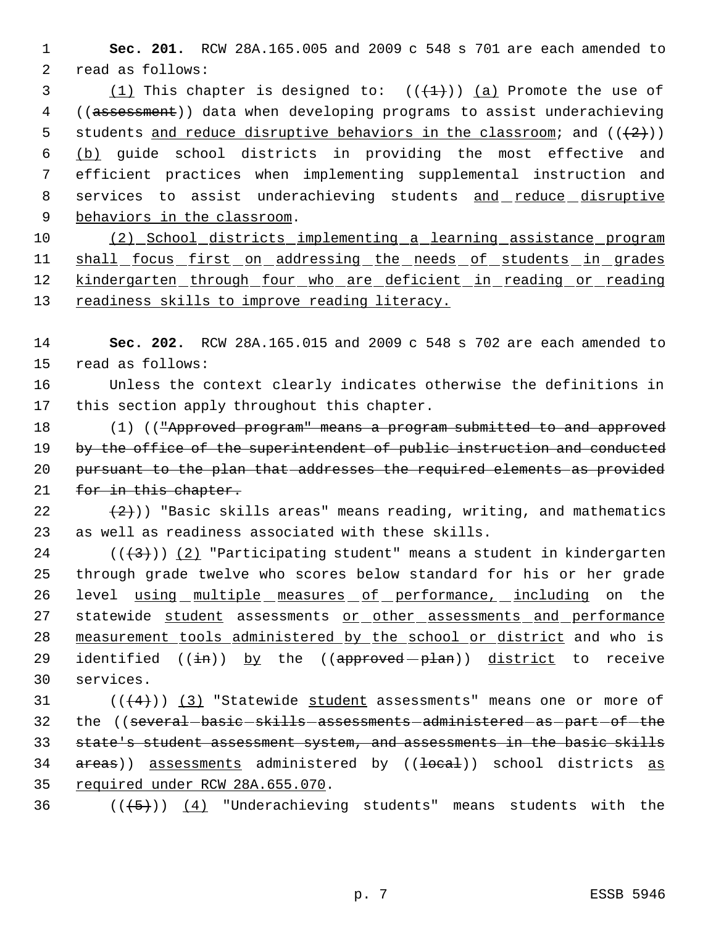1 **Sec. 201.** RCW 28A.165.005 and 2009 c 548 s 701 are each amended to 2 read as follows:

3 (1) This chapter is designed to:  $((+1))$  (a) Promote the use of 4 ((assessment)) data when developing programs to assist underachieving 5 students and reduce disruptive behaviors in the classroom; and  $((+2))$  6 (b) guide school districts in providing the most effective and 7 efficient practices when implementing supplemental instruction and 8 services to assist underachieving students and reduce disruptive 9 behaviors in the classroom.

10 (2) School districts implementing a learning assistance program 11 shall focus first on addressing the needs of students in grades 12 kindergarten through four who are deficient in reading or reading 13 readiness skills to improve reading literacy.

14 **Sec. 202.** RCW 28A.165.015 and 2009 c 548 s 702 are each amended to 15 read as follows:

16 Unless the context clearly indicates otherwise the definitions in 17 this section apply throughout this chapter.

18 (1) (("Approved program" means a program submitted to and approved 19 by the office of the superintendent of public instruction and conducted 20 pursuant to the plan that addresses the required elements as provided 21 for in this chapter.

22  $(2)$  (2)) "Basic skills areas" means reading, writing, and mathematics 23 as well as readiness associated with these skills.

24 ( $(\frac{43}{})$ ) (2) "Participating student" means a student in kindergarten 25 through grade twelve who scores below standard for his or her grade 26 level using multiple measures of performance, including on the 27 statewide student assessments or other assessments and performance 28 measurement tools administered by the school or district and who is 29 identified  $((\frac{1}{2}n))$  by the  $((\frac{1}{2}n)(\frac{1}{2}p+\frac{1}{2}p+\frac{1}{2}p+\frac{1}{2}p+\frac{1}{2}p+\frac{1}{2}p+\frac{1}{2}p+\frac{1}{2}p+\frac{1}{2}p+\frac{1}{2}p+\frac{1}{2}p+\frac{1}{2}p+\frac{1}{2}p+\frac{1}{2}p+\frac{1}{2}p+\frac{1}{2}p+\frac{1}{2}p+\frac{1}{2}p+\frac{1}{2}p+\frac{1}{2}p+\frac{1}{2}p+\frac{1}{2}p$ 30 services.

31  $((4+))$   $(3)$  "Statewide student assessments" means one or more of 32 the ((several-basic-skills-assessments-administered-as-part-of-the 33 state's student assessment system, and assessments in the basic skills 34 areas)) assessments administered by ((local)) school districts as 35 required under RCW 28A.655.070.

36  $((+5))$   $(4)$  "Underachieving students" means students with the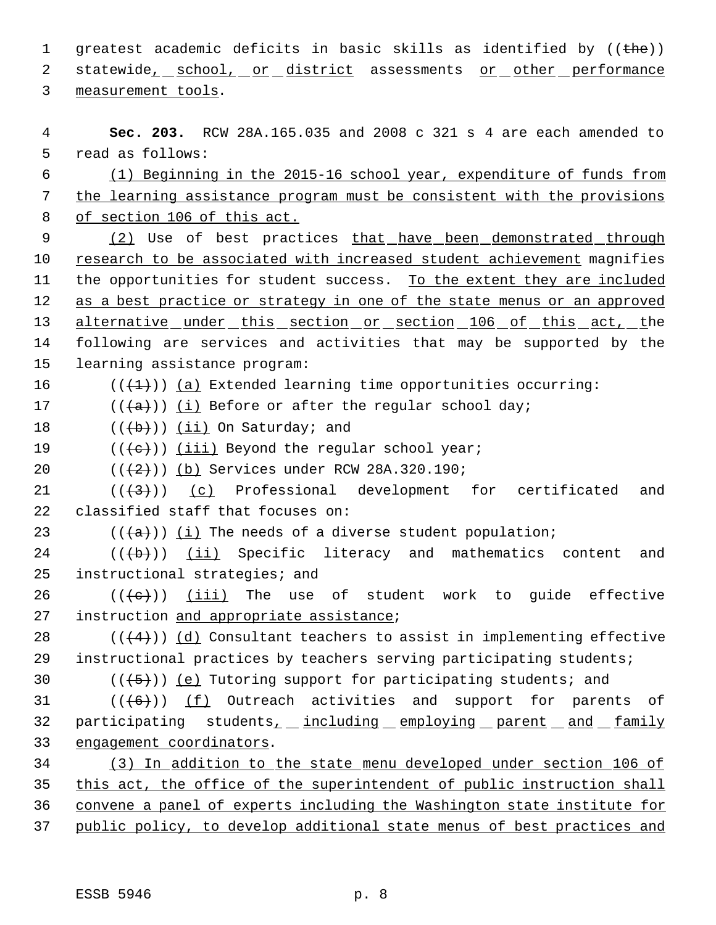1 greatest academic deficits in basic skills as identified by  $((the)<sub>h</sub>)$ 2 statewide<sub>r</sub> school, or district assessments or other performance 3 measurement tools.

 **Sec. 203.** RCW 28A.165.035 and 2008 c 321 s 4 are each amended to read as follows: (1) Beginning in the 2015-16 school year, expenditure of funds from the learning assistance program must be consistent with the provisions of section 106 of this act. 9 (2) Use of best practices that have been demonstrated through 10 research to be associated with increased student achievement magnifies 11 the opportunities for student success. To the extent they are included 12 as a best practice or strategy in one of the state menus or an approved alternative under this section or section 106 of this act, the following are services and activities that may be supported by the learning assistance program:  $((+1))$  (a) Extended learning time opportunities occurring: 17 ( $(\overline{a})$ ) (i) Before or after the reqular school day;  $((+b))$  (ii) On Saturday; and  $((\{e\}) \mid \underline{(iii)}$  Beyond the regular school year;  $((2+))$  (b) Services under RCW 28A.320.190;  $((+3))$  (c) Professional development for certificated and classified staff that focuses on: 23 ( $(\overline{a})$ ) (i) The needs of a diverse student population; (( $\left(\frac{1}{11}\right)$  Specific literacy and mathematics content and instructional strategies; and 26 ( $(\langle e \rangle)$ ) (iii) The use of student work to guide effective 27 instruction and appropriate assistance;  $((4+))$  (d) Consultant teachers to assist in implementing effective instructional practices by teachers serving participating students;  $((\langle 5 \rangle))$  (e) Tutoring support for participating students; and  $((\text{(+6)}))$  (f) Outreach activities and support for parents of 32 participating students<sub>1</sub> including employing parent and family engagement coordinators. (3) In addition to the state menu developed under section 106 of this act, the office of the superintendent of public instruction shall convene a panel of experts including the Washington state institute for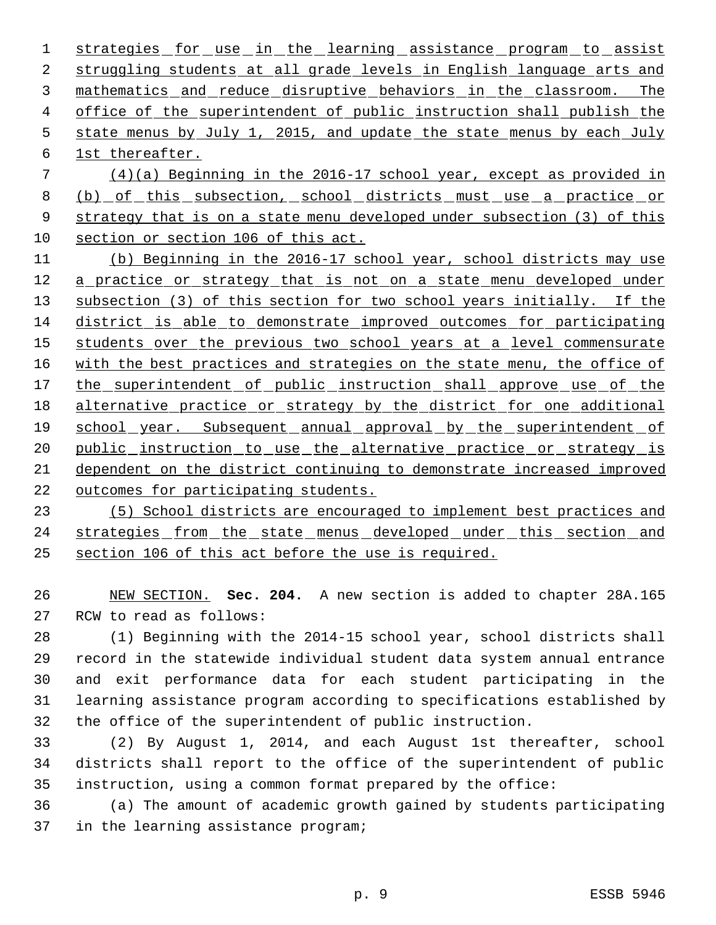1 strategies for use in the learning assistance program to assist struggling students at all grade levels in English language arts and mathematics and reduce disruptive behaviors in the classroom. The 4 office of the superintendent of public instruction shall publish the 5 state menus by July 1, 2015, and update the state menus by each July 1st thereafter.

 (4)(a) Beginning in the 2016-17 school year, except as provided in 8 (b) of this subsection, school districts must use a practice or 9 strategy that is on a state menu developed under subsection (3) of this section or section 106 of this act.

 (b) Beginning in the 2016-17 school year, school districts may use 12 a practice or strategy that is not on a state menu developed under subsection (3) of this section for two school years initially. If the district is able to demonstrate improved outcomes for participating 15 students over the previous two school years at a level commensurate 16 with the best practices and strategies on the state menu, the office of 17 the superintendent of public instruction shall approve use of the alternative practice or strategy by the district for one additional 19 school year. Subsequent annual approval by the superintendent of 20 public instruction to use the alternative practice or strategy is dependent on the district continuing to demonstrate increased improved outcomes for participating students.

 (5) School districts are encouraged to implement best practices and 24 strategies from the state menus developed under this section and section 106 of this act before the use is required.

 NEW SECTION. **Sec. 204.** A new section is added to chapter 28A.165 RCW to read as follows:

 (1) Beginning with the 2014-15 school year, school districts shall record in the statewide individual student data system annual entrance and exit performance data for each student participating in the learning assistance program according to specifications established by the office of the superintendent of public instruction.

 (2) By August 1, 2014, and each August 1st thereafter, school districts shall report to the office of the superintendent of public instruction, using a common format prepared by the office:

 (a) The amount of academic growth gained by students participating in the learning assistance program;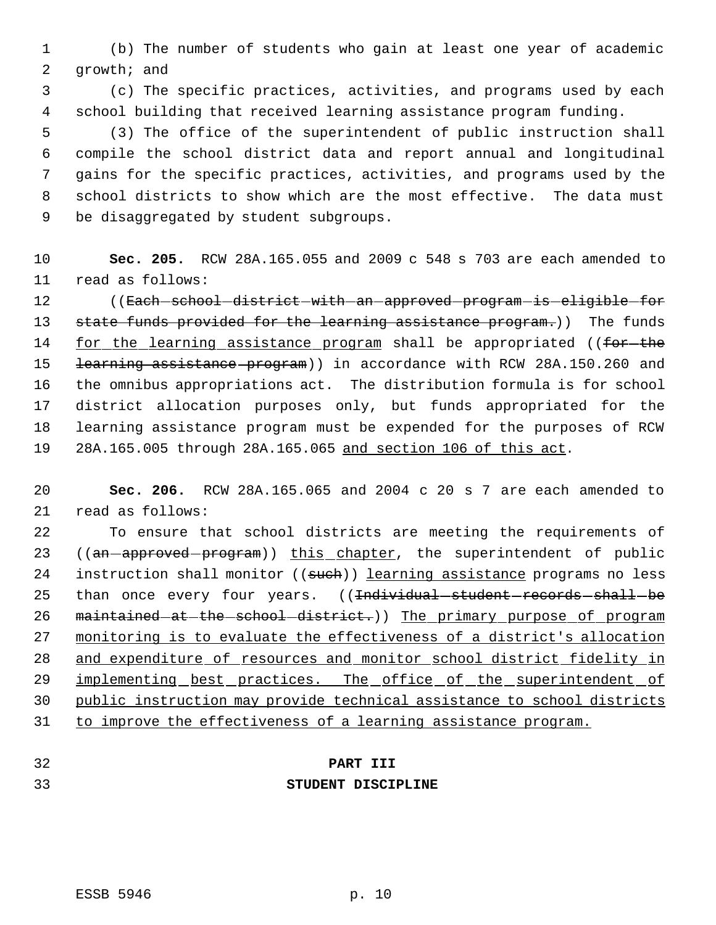(b) The number of students who gain at least one year of academic growth; and

 (c) The specific practices, activities, and programs used by each school building that received learning assistance program funding.

 (3) The office of the superintendent of public instruction shall compile the school district data and report annual and longitudinal gains for the specific practices, activities, and programs used by the school districts to show which are the most effective. The data must be disaggregated by student subgroups.

 **Sec. 205.** RCW 28A.165.055 and 2009 c 548 s 703 are each amended to read as follows:

12 ((Each-school-district-with-an-approved-program-is-eligible-for 13 state funds provided for the learning assistance program.)) The funds 14 for the learning assistance program shall be appropriated ((for-the 15 <del>learning assistance program</del>)) in accordance with RCW 28A.150.260 and the omnibus appropriations act. The distribution formula is for school district allocation purposes only, but funds appropriated for the learning assistance program must be expended for the purposes of RCW 28A.165.005 through 28A.165.065 and section 106 of this act.

 **Sec. 206.** RCW 28A.165.065 and 2004 c 20 s 7 are each amended to read as follows:

 To ensure that school districts are meeting the requirements of 23 ((an-approved-program)) this chapter, the superintendent of public 24 instruction shall monitor ((such)) learning assistance programs no less 25 than once every four years. ((<del>Individual student records shall be</del> 26 maintained at the school district.)) The primary purpose of program monitoring is to evaluate the effectiveness of a district's allocation and expenditure of resources and monitor school district fidelity in 29 implementing best practices. The office of the superintendent of public instruction may provide technical assistance to school districts to improve the effectiveness of a learning assistance program.

## **PART III**

#### **STUDENT DISCIPLINE**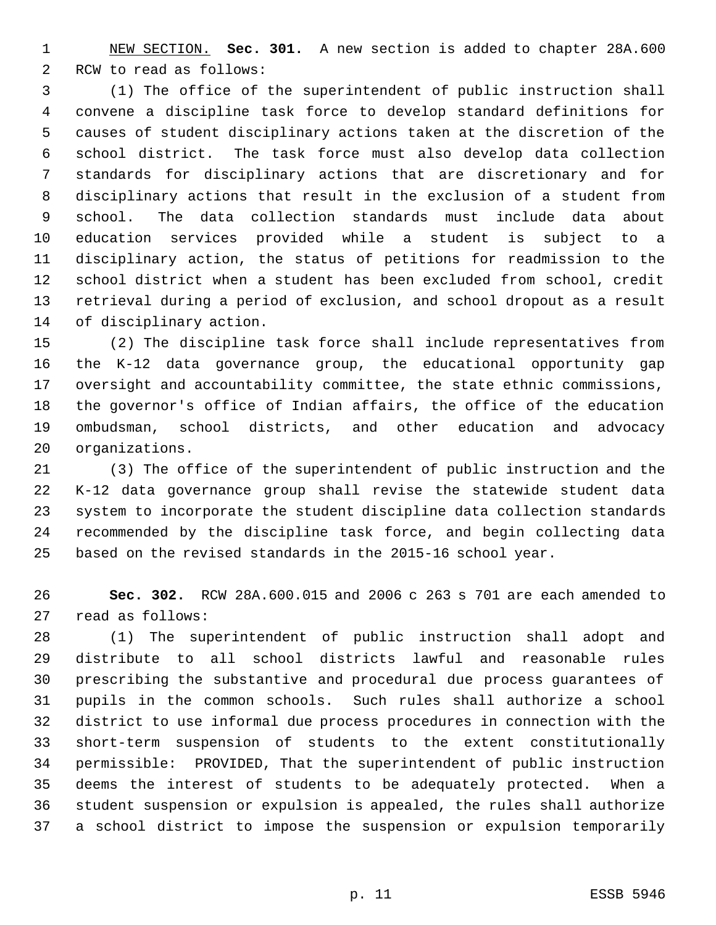NEW SECTION. **Sec. 301.** A new section is added to chapter 28A.600 RCW to read as follows:

 (1) The office of the superintendent of public instruction shall convene a discipline task force to develop standard definitions for causes of student disciplinary actions taken at the discretion of the school district. The task force must also develop data collection standards for disciplinary actions that are discretionary and for disciplinary actions that result in the exclusion of a student from school. The data collection standards must include data about education services provided while a student is subject to a disciplinary action, the status of petitions for readmission to the school district when a student has been excluded from school, credit retrieval during a period of exclusion, and school dropout as a result of disciplinary action.

 (2) The discipline task force shall include representatives from the K-12 data governance group, the educational opportunity gap oversight and accountability committee, the state ethnic commissions, the governor's office of Indian affairs, the office of the education ombudsman, school districts, and other education and advocacy organizations.

 (3) The office of the superintendent of public instruction and the K-12 data governance group shall revise the statewide student data system to incorporate the student discipline data collection standards recommended by the discipline task force, and begin collecting data based on the revised standards in the 2015-16 school year.

 **Sec. 302.** RCW 28A.600.015 and 2006 c 263 s 701 are each amended to read as follows:

 (1) The superintendent of public instruction shall adopt and distribute to all school districts lawful and reasonable rules prescribing the substantive and procedural due process guarantees of pupils in the common schools. Such rules shall authorize a school district to use informal due process procedures in connection with the short-term suspension of students to the extent constitutionally permissible: PROVIDED, That the superintendent of public instruction deems the interest of students to be adequately protected. When a student suspension or expulsion is appealed, the rules shall authorize a school district to impose the suspension or expulsion temporarily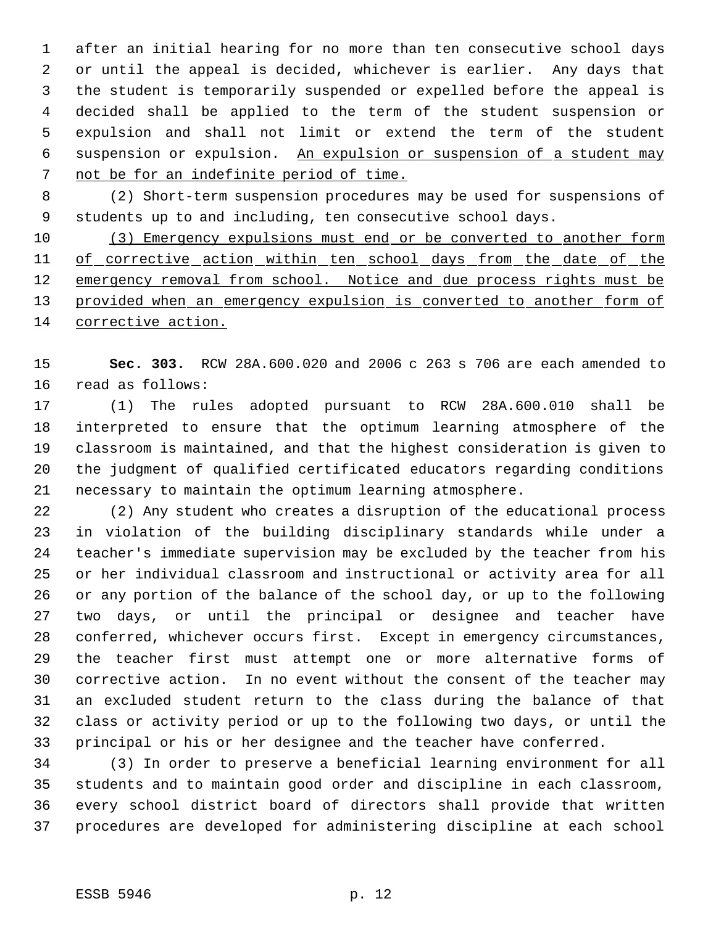after an initial hearing for no more than ten consecutive school days or until the appeal is decided, whichever is earlier. Any days that the student is temporarily suspended or expelled before the appeal is decided shall be applied to the term of the student suspension or expulsion and shall not limit or extend the term of the student suspension or expulsion. An expulsion or suspension of a student may not be for an indefinite period of time.

 (2) Short-term suspension procedures may be used for suspensions of students up to and including, ten consecutive school days.

 (3) Emergency expulsions must end or be converted to another form 11 of corrective action within ten school days from the date of the 12 emergency removal from school. Notice and due process rights must be 13 provided when an emergency expulsion is converted to another form of 14 corrective action.

 **Sec. 303.** RCW 28A.600.020 and 2006 c 263 s 706 are each amended to read as follows:

 (1) The rules adopted pursuant to RCW 28A.600.010 shall be interpreted to ensure that the optimum learning atmosphere of the classroom is maintained, and that the highest consideration is given to the judgment of qualified certificated educators regarding conditions necessary to maintain the optimum learning atmosphere.

 (2) Any student who creates a disruption of the educational process in violation of the building disciplinary standards while under a teacher's immediate supervision may be excluded by the teacher from his or her individual classroom and instructional or activity area for all or any portion of the balance of the school day, or up to the following two days, or until the principal or designee and teacher have conferred, whichever occurs first. Except in emergency circumstances, the teacher first must attempt one or more alternative forms of corrective action. In no event without the consent of the teacher may an excluded student return to the class during the balance of that class or activity period or up to the following two days, or until the principal or his or her designee and the teacher have conferred.

 (3) In order to preserve a beneficial learning environment for all students and to maintain good order and discipline in each classroom, every school district board of directors shall provide that written procedures are developed for administering discipline at each school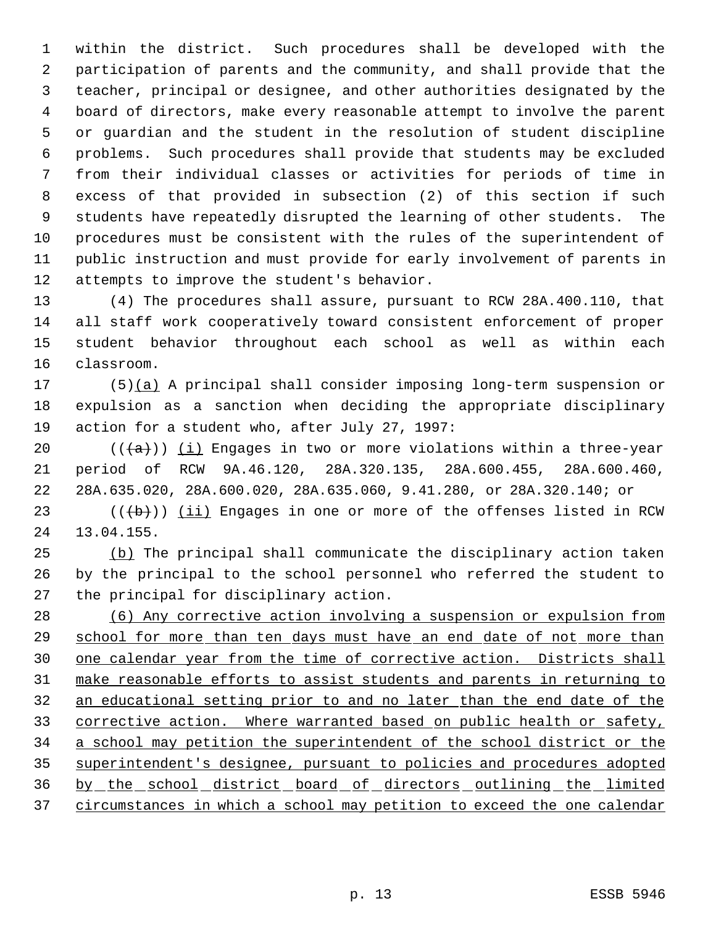within the district. Such procedures shall be developed with the participation of parents and the community, and shall provide that the teacher, principal or designee, and other authorities designated by the board of directors, make every reasonable attempt to involve the parent or guardian and the student in the resolution of student discipline problems. Such procedures shall provide that students may be excluded from their individual classes or activities for periods of time in excess of that provided in subsection (2) of this section if such students have repeatedly disrupted the learning of other students. The procedures must be consistent with the rules of the superintendent of public instruction and must provide for early involvement of parents in attempts to improve the student's behavior.

 (4) The procedures shall assure, pursuant to RCW 28A.400.110, that all staff work cooperatively toward consistent enforcement of proper student behavior throughout each school as well as within each classroom.

 (5)(a) A principal shall consider imposing long-term suspension or expulsion as a sanction when deciding the appropriate disciplinary action for a student who, after July 27, 1997:

20  $((+a))$  ( $\pm$ ) Engages in two or more violations within a three-year period of RCW 9A.46.120, 28A.320.135, 28A.600.455, 28A.600.460, 28A.635.020, 28A.600.020, 28A.635.060, 9.41.280, or 28A.320.140; or

23  $((+b))$   $(ii)$  Engages in one or more of the offenses listed in RCW 13.04.155.

 (b) The principal shall communicate the disciplinary action taken by the principal to the school personnel who referred the student to the principal for disciplinary action.

 (6) Any corrective action involving a suspension or expulsion from 29 school for more than ten days must have an end date of not more than 30 one calendar year from the time of corrective action. Districts shall make reasonable efforts to assist students and parents in returning to an educational setting prior to and no later than the end date of the 33 corrective action. Where warranted based on public health or safety, a school may petition the superintendent of the school district or the superintendent's designee, pursuant to policies and procedures adopted by the school district board of directors outlining the limited circumstances in which a school may petition to exceed the one calendar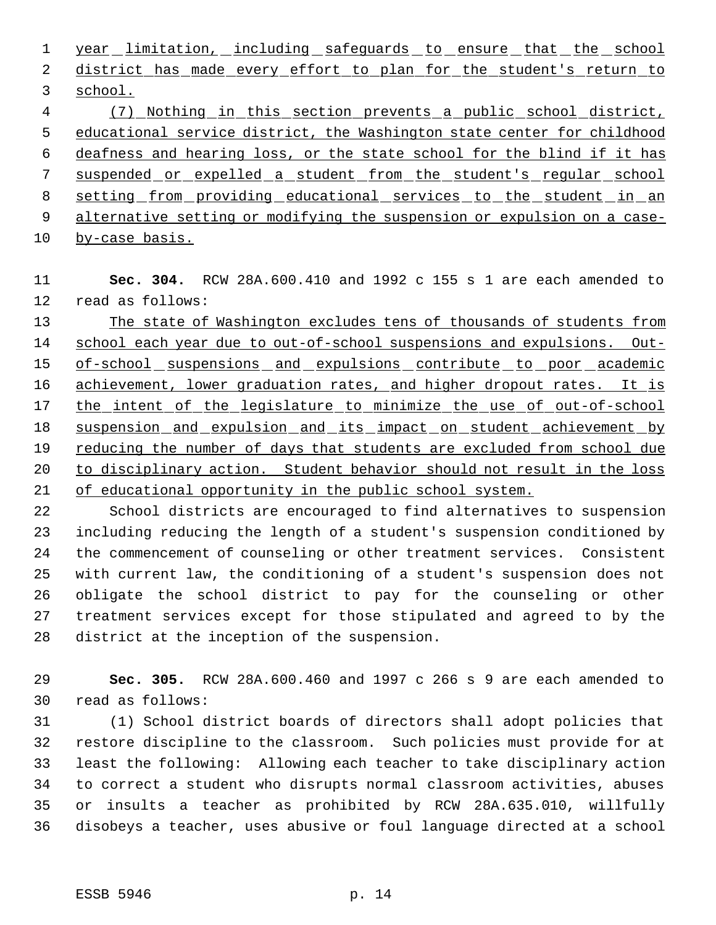1 year limitation, including safeguards to ensure that the school 2 district has made every effort to plan for the student's return to school.

 (7) Nothing in this section prevents a public school district, educational service district, the Washington state center for childhood deafness and hearing loss, or the state school for the blind if it has suspended or expelled a student from the student's regular school 8 setting from providing educational services to the student in an alternative setting or modifying the suspension or expulsion on a case-

by-case basis.

 **Sec. 304.** RCW 28A.600.410 and 1992 c 155 s 1 are each amended to read as follows:

 The state of Washington excludes tens of thousands of students from 14 school each year due to out-of-school suspensions and expulsions. Out-15 of-school suspensions and expulsions contribute to poor academic 16 achievement, lower graduation rates, and higher dropout rates. It is the intent of the legislature to minimize the use of out-of-school suspension and expulsion and its impact on student achievement by 19 reducing the number of days that students are excluded from school due to disciplinary action. Student behavior should not result in the loss of educational opportunity in the public school system.

 School districts are encouraged to find alternatives to suspension including reducing the length of a student's suspension conditioned by the commencement of counseling or other treatment services. Consistent with current law, the conditioning of a student's suspension does not obligate the school district to pay for the counseling or other treatment services except for those stipulated and agreed to by the district at the inception of the suspension.

 **Sec. 305.** RCW 28A.600.460 and 1997 c 266 s 9 are each amended to read as follows:

 (1) School district boards of directors shall adopt policies that restore discipline to the classroom. Such policies must provide for at least the following: Allowing each teacher to take disciplinary action to correct a student who disrupts normal classroom activities, abuses or insults a teacher as prohibited by RCW 28A.635.010, willfully disobeys a teacher, uses abusive or foul language directed at a school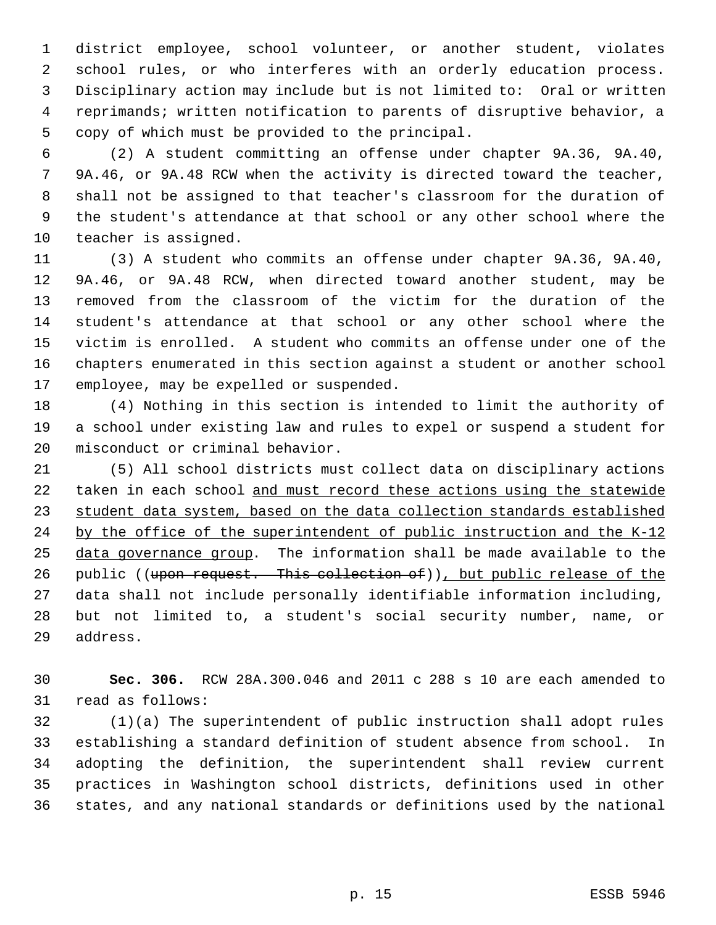district employee, school volunteer, or another student, violates school rules, or who interferes with an orderly education process. Disciplinary action may include but is not limited to: Oral or written reprimands; written notification to parents of disruptive behavior, a copy of which must be provided to the principal.

 (2) A student committing an offense under chapter 9A.36, 9A.40, 9A.46, or 9A.48 RCW when the activity is directed toward the teacher, shall not be assigned to that teacher's classroom for the duration of the student's attendance at that school or any other school where the teacher is assigned.

 (3) A student who commits an offense under chapter 9A.36, 9A.40, 9A.46, or 9A.48 RCW, when directed toward another student, may be removed from the classroom of the victim for the duration of the student's attendance at that school or any other school where the victim is enrolled. A student who commits an offense under one of the chapters enumerated in this section against a student or another school employee, may be expelled or suspended.

 (4) Nothing in this section is intended to limit the authority of a school under existing law and rules to expel or suspend a student for misconduct or criminal behavior.

 (5) All school districts must collect data on disciplinary actions 22 taken in each school and must record these actions using the statewide student data system, based on the data collection standards established 24 by the office of the superintendent of public instruction and the K-12 data governance group. The information shall be made available to the 26 public ((upon request. This collection of)), but public release of the data shall not include personally identifiable information including, but not limited to, a student's social security number, name, or address.

 **Sec. 306.** RCW 28A.300.046 and 2011 c 288 s 10 are each amended to read as follows:

 (1)(a) The superintendent of public instruction shall adopt rules establishing a standard definition of student absence from school. In adopting the definition, the superintendent shall review current practices in Washington school districts, definitions used in other states, and any national standards or definitions used by the national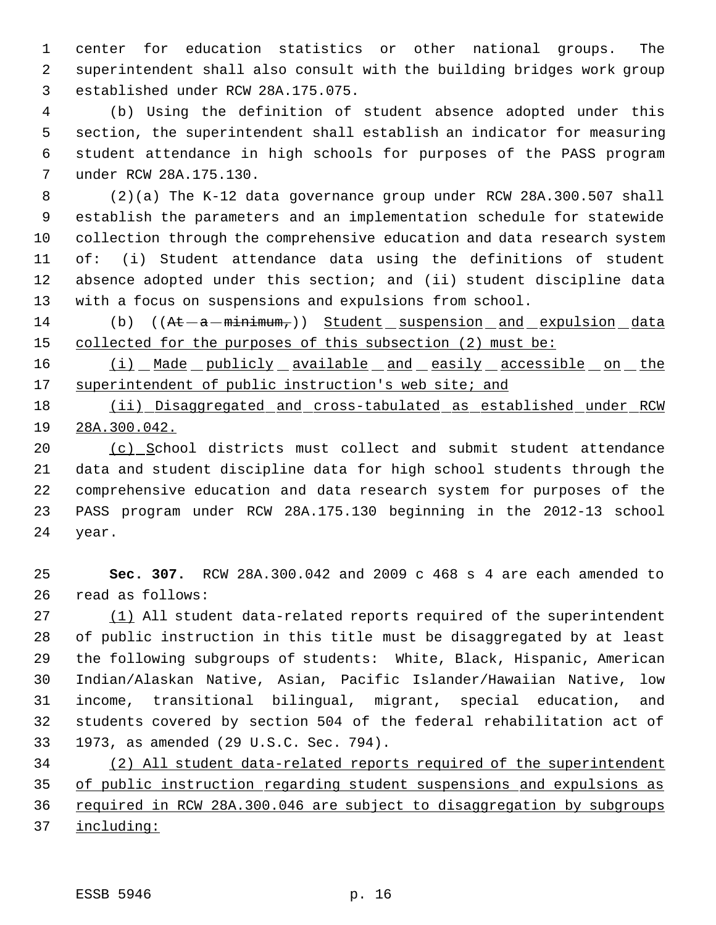center for education statistics or other national groups. The superintendent shall also consult with the building bridges work group established under RCW 28A.175.075.

 (b) Using the definition of student absence adopted under this section, the superintendent shall establish an indicator for measuring student attendance in high schools for purposes of the PASS program under RCW 28A.175.130.

 (2)(a) The K-12 data governance group under RCW 28A.300.507 shall establish the parameters and an implementation schedule for statewide collection through the comprehensive education and data research system of: (i) Student attendance data using the definitions of student absence adopted under this section; and (ii) student discipline data with a focus on suspensions and expulsions from school.

14 (b) ((At -a -minimum,)) Student suspension and expulsion data 15 collected for the purposes of this subsection (2) must be:

16 (i) Made publicly available and easily accessible on the 17 superintendent of public instruction's web site; and

18 (ii) Disaggregated and cross-tabulated as established under RCW 28A.300.042.

20 (c) School districts must collect and submit student attendance data and student discipline data for high school students through the comprehensive education and data research system for purposes of the PASS program under RCW 28A.175.130 beginning in the 2012-13 school year.

 **Sec. 307.** RCW 28A.300.042 and 2009 c 468 s 4 are each amended to read as follows:

27 (1) All student data-related reports required of the superintendent of public instruction in this title must be disaggregated by at least the following subgroups of students: White, Black, Hispanic, American Indian/Alaskan Native, Asian, Pacific Islander/Hawaiian Native, low income, transitional bilingual, migrant, special education, and students covered by section 504 of the federal rehabilitation act of 1973, as amended (29 U.S.C. Sec. 794).

 (2) All student data-related reports required of the superintendent of public instruction regarding student suspensions and expulsions as 36 required in RCW 28A.300.046 are subject to disaggregation by subgroups including: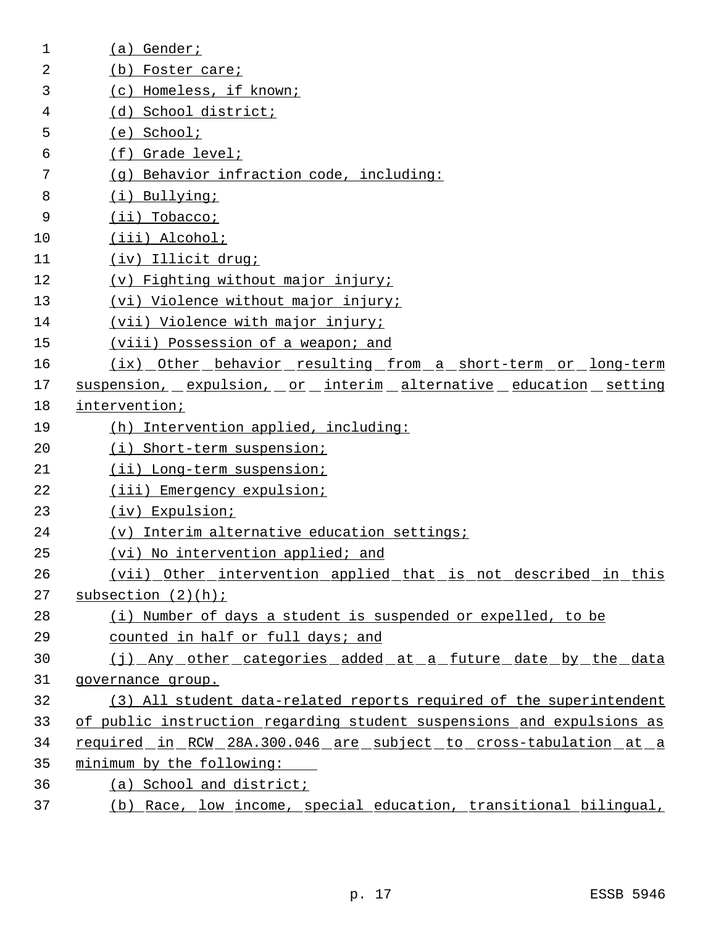| 1  | Gender;<br>(a)                                                        |
|----|-----------------------------------------------------------------------|
| 2  | (b) Foster care;                                                      |
| 3  | (c) Homeless, if known;                                               |
| 4  | (d) School district;                                                  |
| 5  | $(e)$ School;                                                         |
| 6  | (f) Grade level;                                                      |
| 7  | (q) Behavior infraction code, including:                              |
| 8  | (i) Bullying;                                                         |
| 9  | $(ii)$ Tobacco;                                                       |
| 10 | (iii) Alcohol;                                                        |
| 11 | (iv) Illicit drug;                                                    |
| 12 | (v) Fighting without major injury;                                    |
| 13 | (vi) Violence without major injury;                                   |
| 14 | (vii) Violence with major injury;                                     |
| 15 | (viii) Possession of a weapon; and                                    |
| 16 | (ix) Other behavior resulting from a short-term or long-term          |
| 17 | suspension, expulsion, or interim alternative education setting       |
| 18 | intervention;                                                         |
| 19 | (h) Intervention applied, including:                                  |
| 20 | (i) Short-term suspension;                                            |
| 21 | (ii) Long-term suspension;                                            |
| 22 | (iii) Emergency expulsion;                                            |
| 23 | $(iv)$ Expulsion;                                                     |
| 24 | (v) Interim alternative education settings;                           |
| 25 | (vi) No intervention applied; and                                     |
| 26 | (vii) Other intervention applied that is not described in this        |
| 27 | subsection (2)(h);                                                    |
| 28 | (i) Number of days a student is suspended or expelled, to be          |
| 29 | counted in half or full days; and                                     |
| 30 | (j) Any other categories added at a future date by the data           |
| 31 | governance group.                                                     |
| 32 | (3) All student data-related reports required of the superintendent   |
| 33 | of public instruction regarding student suspensions and expulsions as |
| 34 | required in RCW 28A.300.046 are subject to cross-tabulation at a      |
| 35 | minimum by the following:                                             |
| 36 | (a) School and district;                                              |
| 37 | (b) Race, low income, special education, transitional bilingual,      |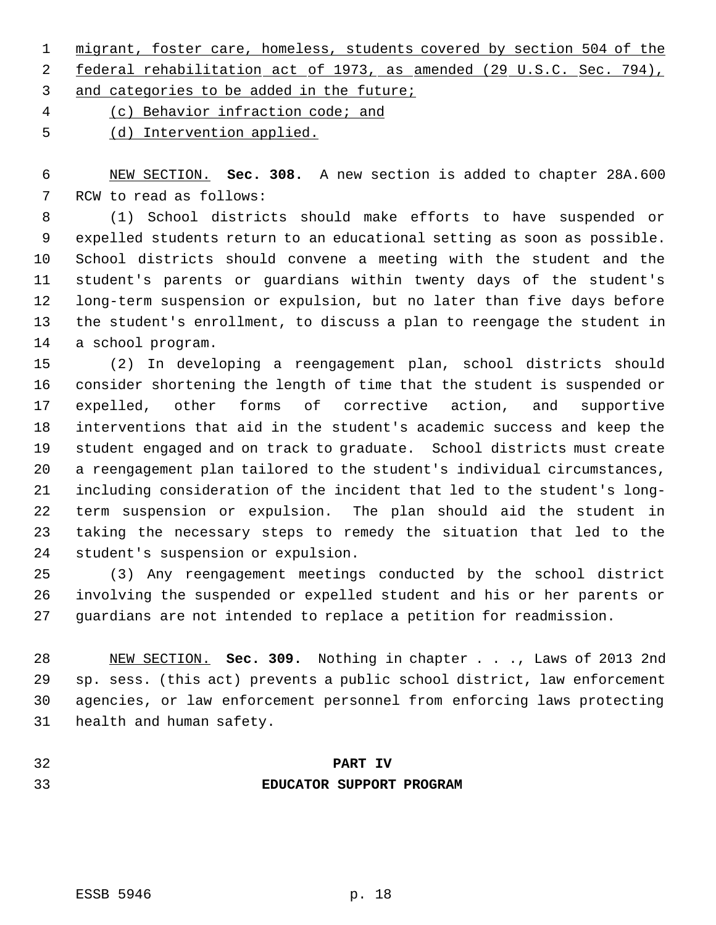1 migrant, foster care, homeless, students covered by section 504 of the

2 federal rehabilitation act of 1973, as amended (29 U.S.C. Sec. 794),

3 and categories to be added in the future;

(c) Behavior infraction code; and

(d) Intervention applied.

 NEW SECTION. **Sec. 308.** A new section is added to chapter 28A.600 RCW to read as follows:

 (1) School districts should make efforts to have suspended or expelled students return to an educational setting as soon as possible. School districts should convene a meeting with the student and the student's parents or guardians within twenty days of the student's long-term suspension or expulsion, but no later than five days before the student's enrollment, to discuss a plan to reengage the student in a school program.

 (2) In developing a reengagement plan, school districts should consider shortening the length of time that the student is suspended or expelled, other forms of corrective action, and supportive interventions that aid in the student's academic success and keep the student engaged and on track to graduate. School districts must create a reengagement plan tailored to the student's individual circumstances, including consideration of the incident that led to the student's long- term suspension or expulsion. The plan should aid the student in taking the necessary steps to remedy the situation that led to the student's suspension or expulsion.

 (3) Any reengagement meetings conducted by the school district involving the suspended or expelled student and his or her parents or guardians are not intended to replace a petition for readmission.

 NEW SECTION. **Sec. 309.** Nothing in chapter . . ., Laws of 2013 2nd sp. sess. (this act) prevents a public school district, law enforcement agencies, or law enforcement personnel from enforcing laws protecting health and human safety.

- 
- 

## **PART IV EDUCATOR SUPPORT PROGRAM**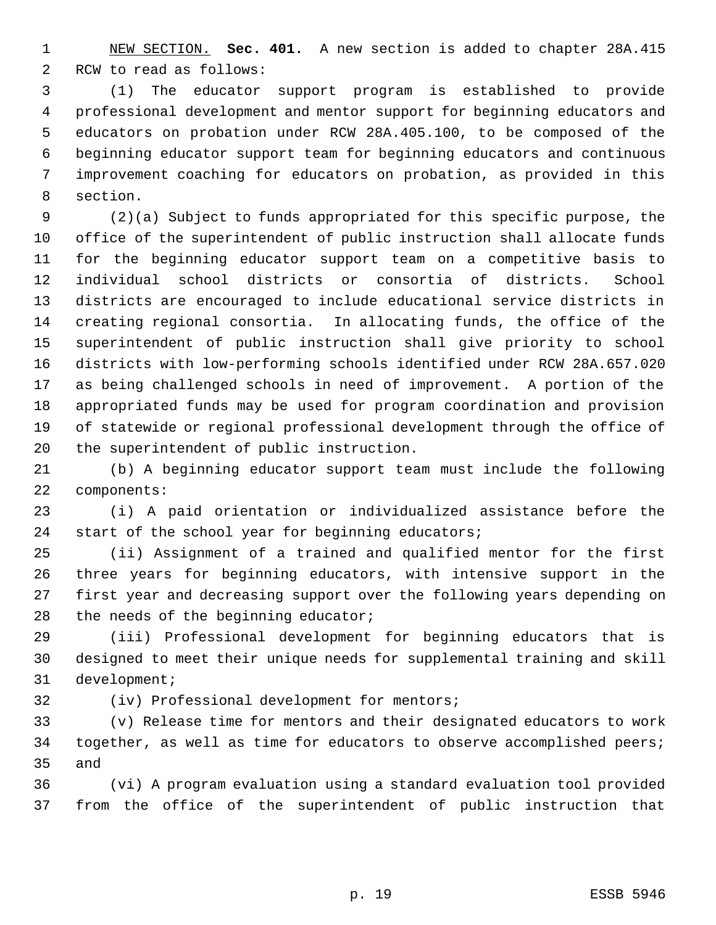NEW SECTION. **Sec. 401.** A new section is added to chapter 28A.415 RCW to read as follows:

 (1) The educator support program is established to provide professional development and mentor support for beginning educators and educators on probation under RCW 28A.405.100, to be composed of the beginning educator support team for beginning educators and continuous improvement coaching for educators on probation, as provided in this section.

 (2)(a) Subject to funds appropriated for this specific purpose, the office of the superintendent of public instruction shall allocate funds for the beginning educator support team on a competitive basis to individual school districts or consortia of districts. School districts are encouraged to include educational service districts in creating regional consortia. In allocating funds, the office of the superintendent of public instruction shall give priority to school districts with low-performing schools identified under RCW 28A.657.020 as being challenged schools in need of improvement. A portion of the appropriated funds may be used for program coordination and provision of statewide or regional professional development through the office of the superintendent of public instruction.

 (b) A beginning educator support team must include the following components:

 (i) A paid orientation or individualized assistance before the start of the school year for beginning educators;

 (ii) Assignment of a trained and qualified mentor for the first three years for beginning educators, with intensive support in the first year and decreasing support over the following years depending on 28 the needs of the beginning educator;

 (iii) Professional development for beginning educators that is designed to meet their unique needs for supplemental training and skill development;

(iv) Professional development for mentors;

 (v) Release time for mentors and their designated educators to work together, as well as time for educators to observe accomplished peers; and

 (vi) A program evaluation using a standard evaluation tool provided from the office of the superintendent of public instruction that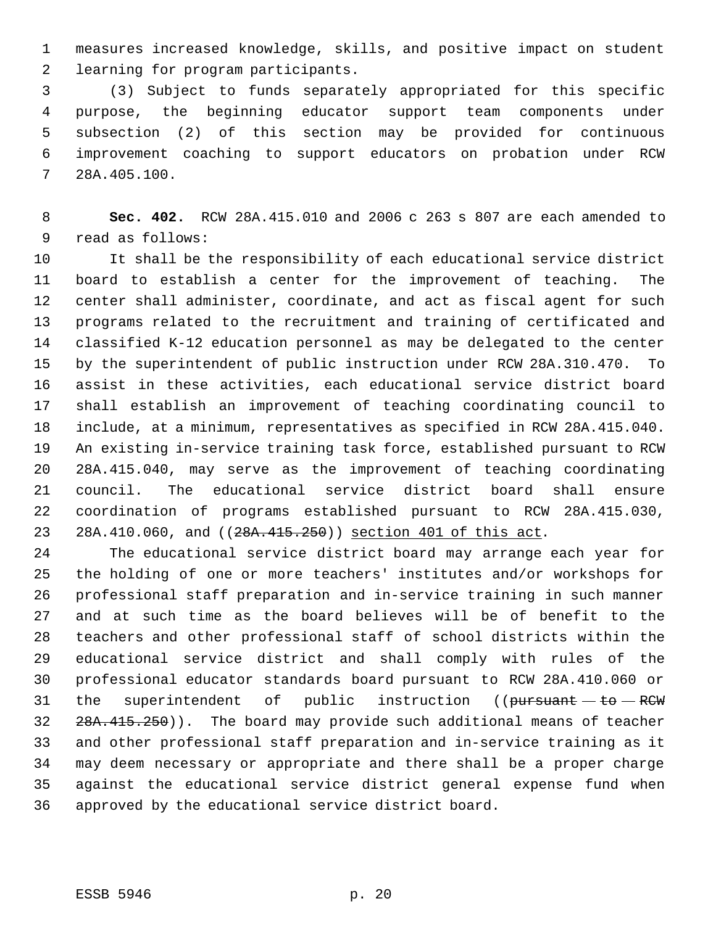measures increased knowledge, skills, and positive impact on student learning for program participants.

 (3) Subject to funds separately appropriated for this specific purpose, the beginning educator support team components under subsection (2) of this section may be provided for continuous improvement coaching to support educators on probation under RCW 28A.405.100.

 **Sec. 402.** RCW 28A.415.010 and 2006 c 263 s 807 are each amended to read as follows:

 It shall be the responsibility of each educational service district board to establish a center for the improvement of teaching. The center shall administer, coordinate, and act as fiscal agent for such programs related to the recruitment and training of certificated and classified K-12 education personnel as may be delegated to the center by the superintendent of public instruction under RCW 28A.310.470. To assist in these activities, each educational service district board shall establish an improvement of teaching coordinating council to include, at a minimum, representatives as specified in RCW 28A.415.040. An existing in-service training task force, established pursuant to RCW 28A.415.040, may serve as the improvement of teaching coordinating council. The educational service district board shall ensure coordination of programs established pursuant to RCW 28A.415.030, 23 28A.410.060, and ((28A.415.250)) section 401 of this act.

 The educational service district board may arrange each year for the holding of one or more teachers' institutes and/or workshops for professional staff preparation and in-service training in such manner and at such time as the board believes will be of benefit to the teachers and other professional staff of school districts within the educational service district and shall comply with rules of the professional educator standards board pursuant to RCW 28A.410.060 or 31 the superintendent of public instruction (( $\mu$ ursuant - to - RCW) 32 28A.415.250)). The board may provide such additional means of teacher and other professional staff preparation and in-service training as it may deem necessary or appropriate and there shall be a proper charge against the educational service district general expense fund when approved by the educational service district board.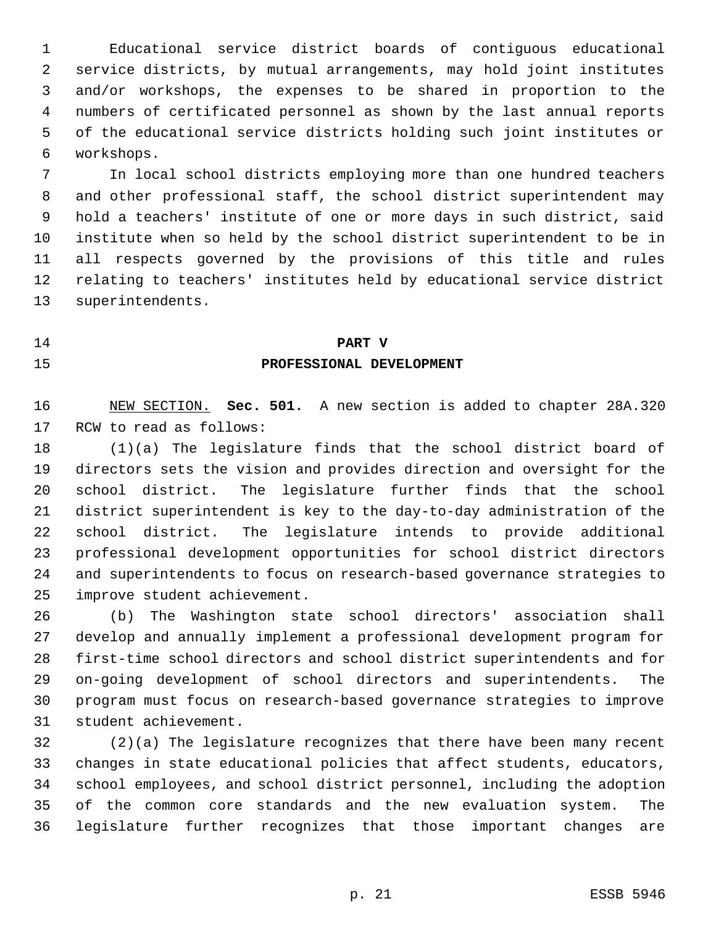Educational service district boards of contiguous educational service districts, by mutual arrangements, may hold joint institutes and/or workshops, the expenses to be shared in proportion to the numbers of certificated personnel as shown by the last annual reports of the educational service districts holding such joint institutes or workshops.

 In local school districts employing more than one hundred teachers and other professional staff, the school district superintendent may hold a teachers' institute of one or more days in such district, said institute when so held by the school district superintendent to be in all respects governed by the provisions of this title and rules relating to teachers' institutes held by educational service district superintendents.

**PART V**

**PROFESSIONAL DEVELOPMENT**

 NEW SECTION. **Sec. 501.** A new section is added to chapter 28A.320 RCW to read as follows:

 (1)(a) The legislature finds that the school district board of directors sets the vision and provides direction and oversight for the school district. The legislature further finds that the school district superintendent is key to the day-to-day administration of the school district. The legislature intends to provide additional professional development opportunities for school district directors and superintendents to focus on research-based governance strategies to improve student achievement.

 (b) The Washington state school directors' association shall develop and annually implement a professional development program for first-time school directors and school district superintendents and for on-going development of school directors and superintendents. The program must focus on research-based governance strategies to improve student achievement.

 (2)(a) The legislature recognizes that there have been many recent changes in state educational policies that affect students, educators, school employees, and school district personnel, including the adoption of the common core standards and the new evaluation system. The legislature further recognizes that those important changes are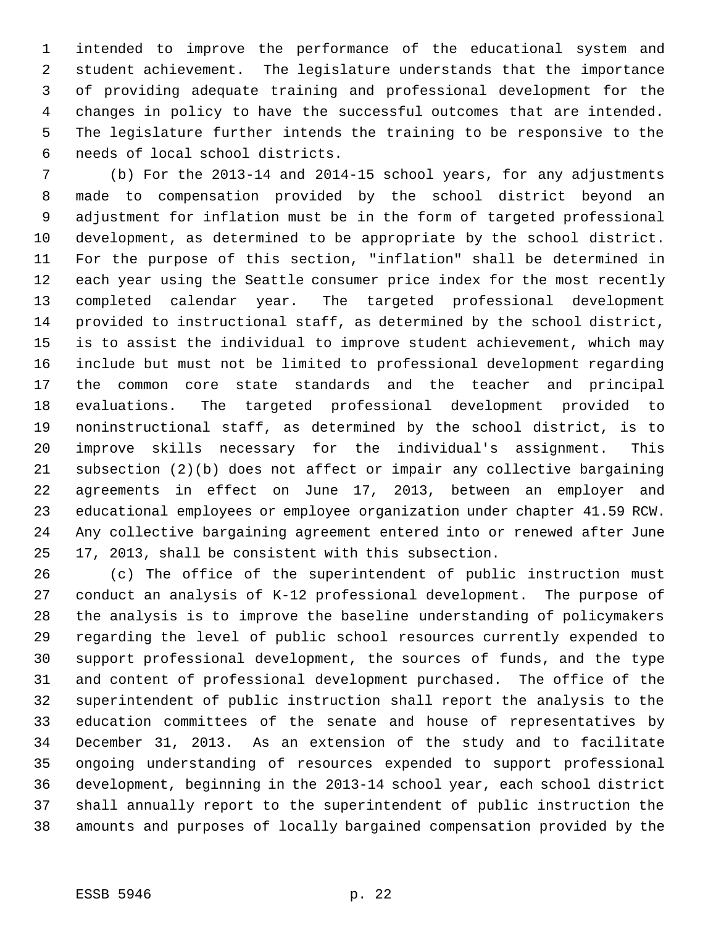intended to improve the performance of the educational system and student achievement. The legislature understands that the importance of providing adequate training and professional development for the changes in policy to have the successful outcomes that are intended. The legislature further intends the training to be responsive to the needs of local school districts.

 (b) For the 2013-14 and 2014-15 school years, for any adjustments made to compensation provided by the school district beyond an adjustment for inflation must be in the form of targeted professional development, as determined to be appropriate by the school district. For the purpose of this section, "inflation" shall be determined in each year using the Seattle consumer price index for the most recently completed calendar year. The targeted professional development provided to instructional staff, as determined by the school district, is to assist the individual to improve student achievement, which may include but must not be limited to professional development regarding the common core state standards and the teacher and principal evaluations. The targeted professional development provided to noninstructional staff, as determined by the school district, is to improve skills necessary for the individual's assignment. This subsection (2)(b) does not affect or impair any collective bargaining agreements in effect on June 17, 2013, between an employer and educational employees or employee organization under chapter 41.59 RCW. Any collective bargaining agreement entered into or renewed after June 17, 2013, shall be consistent with this subsection.

 (c) The office of the superintendent of public instruction must conduct an analysis of K-12 professional development. The purpose of the analysis is to improve the baseline understanding of policymakers regarding the level of public school resources currently expended to support professional development, the sources of funds, and the type and content of professional development purchased. The office of the superintendent of public instruction shall report the analysis to the education committees of the senate and house of representatives by December 31, 2013. As an extension of the study and to facilitate ongoing understanding of resources expended to support professional development, beginning in the 2013-14 school year, each school district shall annually report to the superintendent of public instruction the amounts and purposes of locally bargained compensation provided by the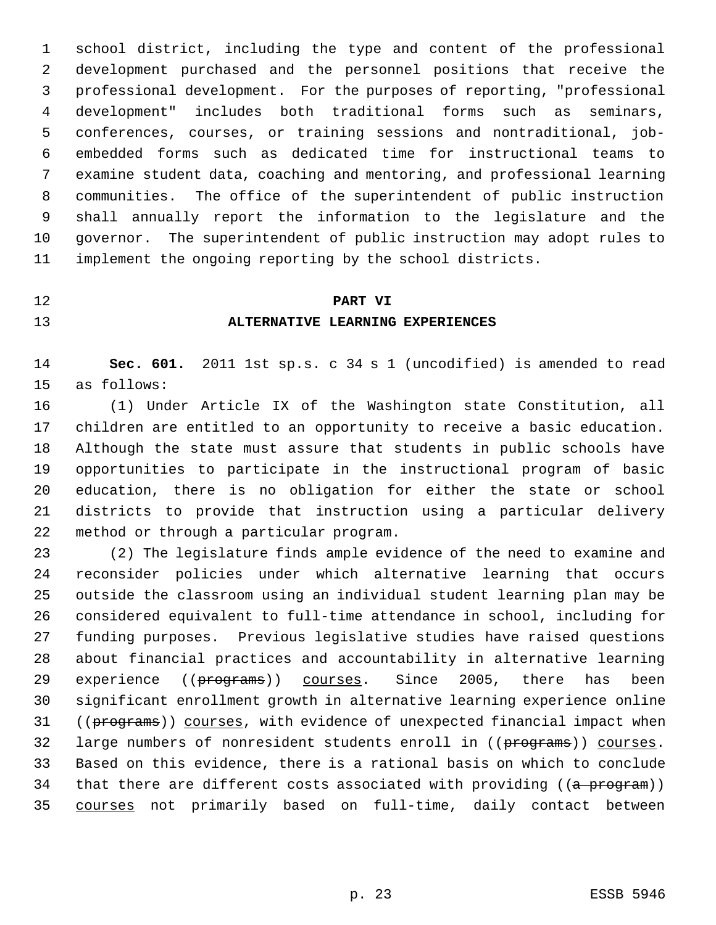school district, including the type and content of the professional development purchased and the personnel positions that receive the professional development. For the purposes of reporting, "professional development" includes both traditional forms such as seminars, conferences, courses, or training sessions and nontraditional, job- embedded forms such as dedicated time for instructional teams to examine student data, coaching and mentoring, and professional learning communities. The office of the superintendent of public instruction shall annually report the information to the legislature and the governor. The superintendent of public instruction may adopt rules to implement the ongoing reporting by the school districts.

# **PART VI ALTERNATIVE LEARNING EXPERIENCES**

 **Sec. 601.** 2011 1st sp.s. c 34 s 1 (uncodified) is amended to read as follows:

 (1) Under Article IX of the Washington state Constitution, all children are entitled to an opportunity to receive a basic education. Although the state must assure that students in public schools have opportunities to participate in the instructional program of basic education, there is no obligation for either the state or school districts to provide that instruction using a particular delivery method or through a particular program.

 (2) The legislature finds ample evidence of the need to examine and reconsider policies under which alternative learning that occurs outside the classroom using an individual student learning plan may be considered equivalent to full-time attendance in school, including for funding purposes. Previous legislative studies have raised questions about financial practices and accountability in alternative learning 29 experience ((programs)) courses. Since 2005, there has been significant enrollment growth in alternative learning experience online 31 ((programs)) courses, with evidence of unexpected financial impact when 32 large numbers of nonresident students enroll in ((programs)) courses. Based on this evidence, there is a rational basis on which to conclude 34 that there are different costs associated with providing ((a program)) courses not primarily based on full-time, daily contact between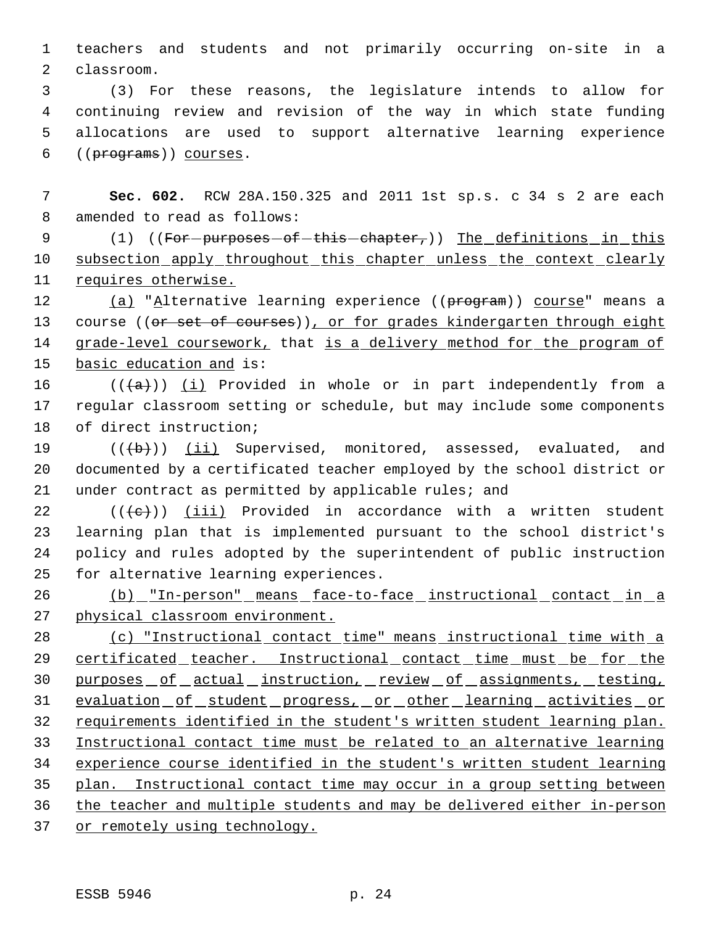teachers and students and not primarily occurring on-site in a classroom.

 (3) For these reasons, the legislature intends to allow for continuing review and revision of the way in which state funding allocations are used to support alternative learning experience ((programs)) courses.

 **Sec. 602.** RCW 28A.150.325 and 2011 1st sp.s. c 34 s 2 are each amended to read as follows:

9 (1) ((For-purposes-of-this-chapter,)) The definitions in this 10 subsection apply throughout this chapter unless the context clearly requires otherwise.

12 (a) "Alternative learning experience ((program)) course" means a 13 course ((or set of courses)), or for grades kindergarten through eight 14 grade-level coursework, that is a delivery method for the program of basic education and is:

16  $((+a))$   $(i)$  Provided in whole or in part independently from a regular classroom setting or schedule, but may include some components of direct instruction;

19 (((b)) (ii) Supervised, monitored, assessed, evaluated, and documented by a certificated teacher employed by the school district or 21 under contract as permitted by applicable rules; and

 $((\{e\})$  (iii) Provided in accordance with a written student learning plan that is implemented pursuant to the school district's policy and rules adopted by the superintendent of public instruction for alternative learning experiences.

 (b) "In-person" means face-to-face instructional contact in a physical classroom environment.

 (c) "Instructional contact time" means instructional time with a 29 certificated teacher. Instructional contact time must be for the 30 purposes of actual instruction, review of assignments, testing, 31 evaluation of student progress, or other learning activities or 32 requirements identified in the student's written student learning plan. Instructional contact time must be related to an alternative learning experience course identified in the student's written student learning plan. Instructional contact time may occur in a group setting between the teacher and multiple students and may be delivered either in-person 37 or remotely using technology.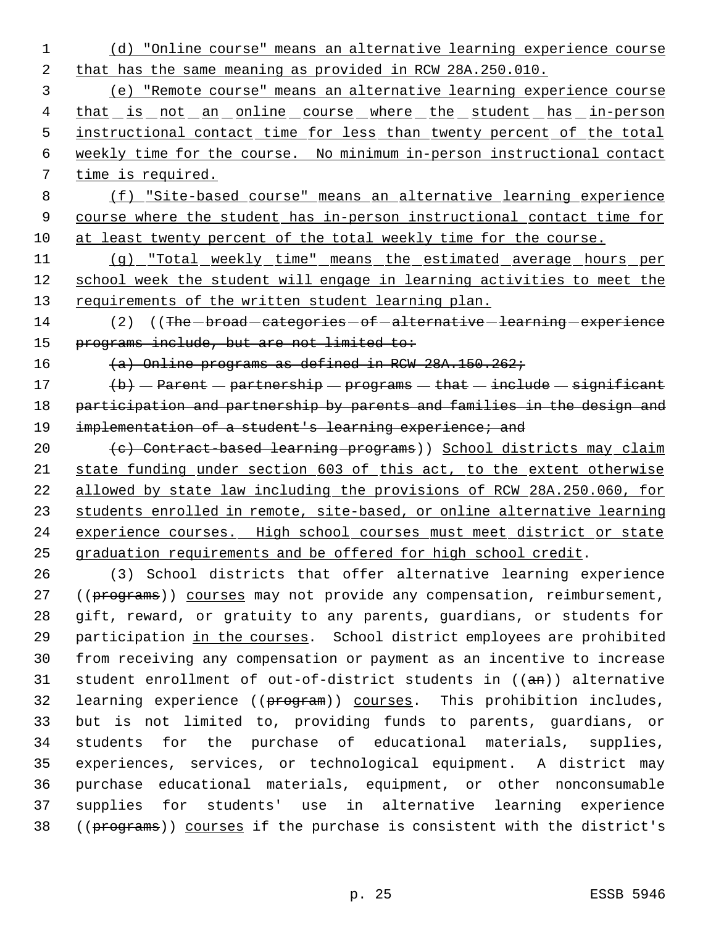1 (d) "Online course" means an alternative learning experience course 2 that has the same meaning as provided in RCW 28A.250.010.

 3 (e) "Remote course" means an alternative learning experience course 4 that is not an online course where the student has in-person 5 instructional contact time for less than twenty percent of the total 6 weekly time for the course. No minimum in-person instructional contact 7 time is required.

 8 (f) "Site-based course" means an alternative learning experience 9 course where the student has in-person instructional contact time for 10 at least twenty percent of the total weekly time for the course.

11 (g) "Total weekly time" means the estimated average hours per 12 school week the student will engage in learning activities to meet the 13 requirements of the written student learning plan.

14 (2) ((The - broad - categories - of - alternative - learning - experience 15 programs include, but are not limited to:

16 (a) Online programs as defined in RCW 28A.150.262;

17  $\langle b \rangle$  - Parent - partnership - programs - that - include - significant 18 participation and partnership by parents and families in the design and 19 implementation of a student's learning experience; and

20 (c) Contract-based learning programs)) School districts may claim state funding under section 603 of this act, to the extent otherwise allowed by state law including the provisions of RCW 28A.250.060, for students enrolled in remote, site-based, or online alternative learning 24 experience courses. High school courses must meet district or state graduation requirements and be offered for high school credit.

 (3) School districts that offer alternative learning experience 27 ((programs)) courses may not provide any compensation, reimbursement, gift, reward, or gratuity to any parents, guardians, or students for participation in the courses. School district employees are prohibited from receiving any compensation or payment as an incentive to increase student enrollment of out-of-district students in ((an)) alternative 32 learning experience ((program)) courses. This prohibition includes, but is not limited to, providing funds to parents, guardians, or students for the purchase of educational materials, supplies, experiences, services, or technological equipment. A district may purchase educational materials, equipment, or other nonconsumable supplies for students' use in alternative learning experience 38 ((programs)) courses if the purchase is consistent with the district's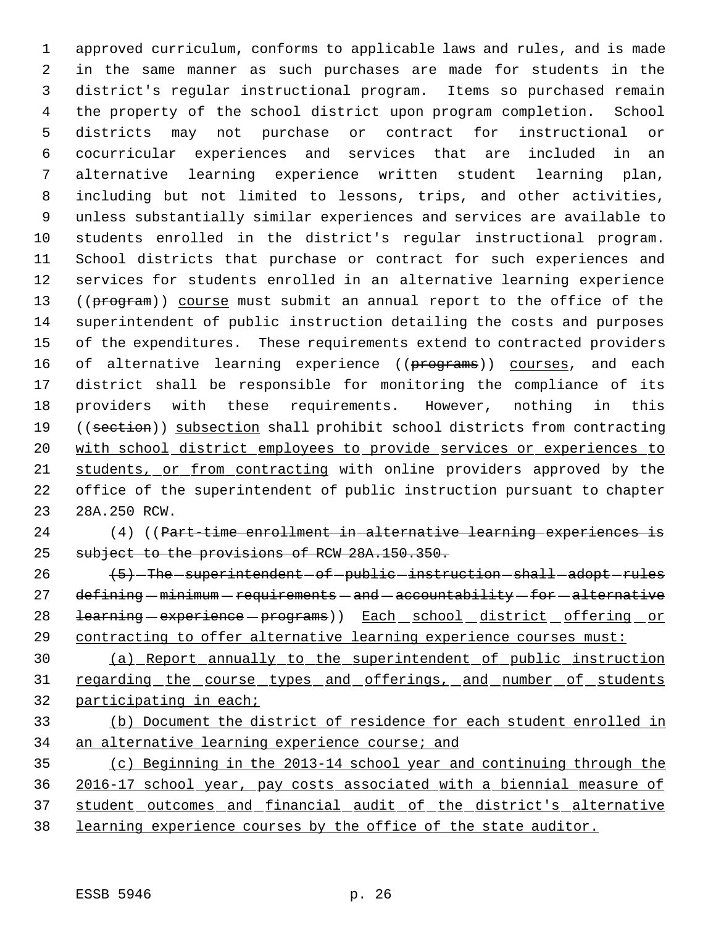approved curriculum, conforms to applicable laws and rules, and is made in the same manner as such purchases are made for students in the district's regular instructional program. Items so purchased remain the property of the school district upon program completion. School districts may not purchase or contract for instructional or cocurricular experiences and services that are included in an alternative learning experience written student learning plan, including but not limited to lessons, trips, and other activities, unless substantially similar experiences and services are available to students enrolled in the district's regular instructional program. School districts that purchase or contract for such experiences and services for students enrolled in an alternative learning experience 13 ((program)) course must submit an annual report to the office of the superintendent of public instruction detailing the costs and purposes of the expenditures. These requirements extend to contracted providers 16 of alternative learning experience ((programs)) courses, and each district shall be responsible for monitoring the compliance of its providers with these requirements. However, nothing in this 19 ((section)) subsection shall prohibit school districts from contracting with school district employees to provide services or experiences to students, or from contracting with online providers approved by the office of the superintendent of public instruction pursuant to chapter 28A.250 RCW.

 (4) ((Part-time enrollment in alternative learning experiences is subject to the provisions of RCW 28A.150.350.

26 (5) The superintendent of public instruction shall adopt rules defining  $-$  minimum  $-$  requirements  $-$  and  $-$  accountability  $-$  for  $-$  alternative 28 <del>learning experience programs</del>)) Each school district offering or 29 contracting to offer alternative learning experience courses must:

 (a) Report annually to the superintendent of public instruction 31 regarding the course types and offerings, and number of students participating in each;

 (b) Document the district of residence for each student enrolled in an alternative learning experience course; and

 (c) Beginning in the 2013-14 school year and continuing through the 2016-17 school year, pay costs associated with a biennial measure of 37 student outcomes and financial audit of the district's alternative learning experience courses by the office of the state auditor.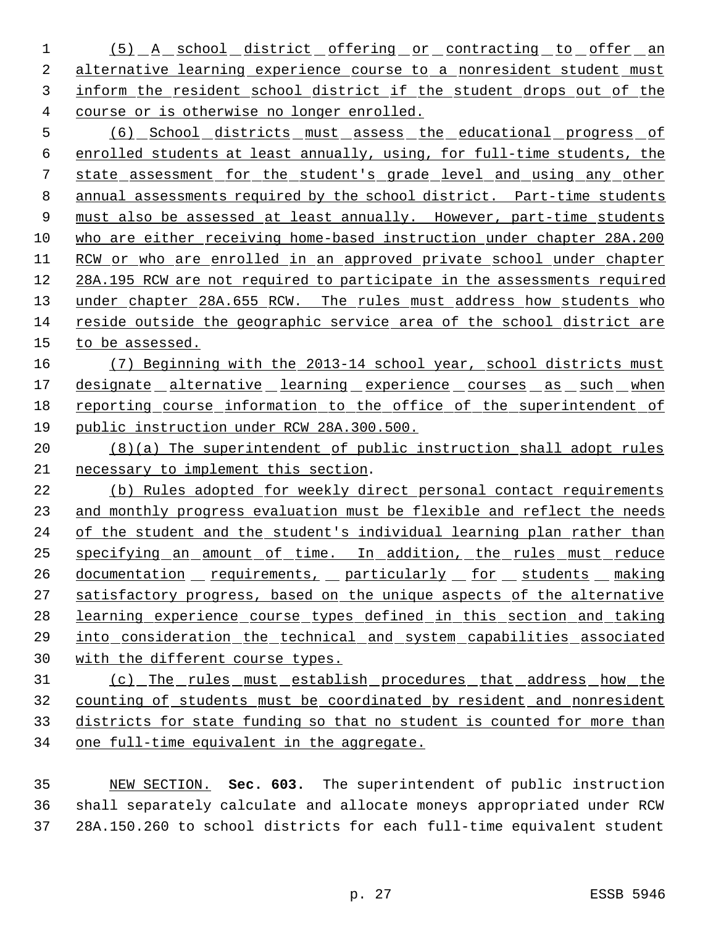1 (5) A school district offering or contracting to offer an 2 alternative learning experience course to a nonresident student must inform the resident school district if the student drops out of the course or is otherwise no longer enrolled.

 (6) School districts must assess the educational progress of enrolled students at least annually, using, for full-time students, the state assessment for the student's grade level and using any other annual assessments required by the school district. Part-time students 9 must also be assessed at least annually. However, part-time students who are either receiving home-based instruction under chapter 28A.200 RCW or who are enrolled in an approved private school under chapter 28A.195 RCW are not required to participate in the assessments required 13 under chapter 28A.655 RCW. The rules must address how students who reside outside the geographic service area of the school district are to be assessed.

 (7) Beginning with the 2013-14 school year, school districts must 17 designate alternative learning experience courses as such when reporting course information to the office of the superintendent of public instruction under RCW 28A.300.500.

 (8)(a) The superintendent of public instruction shall adopt rules necessary to implement this section.

 (b) Rules adopted for weekly direct personal contact requirements and monthly progress evaluation must be flexible and reflect the needs of the student and the student's individual learning plan rather than specifying an amount of time. In addition, the rules must reduce 26 documentation requirements, particularly for students making 27 satisfactory progress, based on the unique aspects of the alternative learning experience course types defined in this section and taking into consideration the technical and system capabilities associated with the different course types.

 (c) The rules must establish procedures that address how the counting of students must be coordinated by resident and nonresident districts for state funding so that no student is counted for more than one full-time equivalent in the aggregate.

 NEW SECTION. **Sec. 603.** The superintendent of public instruction shall separately calculate and allocate moneys appropriated under RCW 28A.150.260 to school districts for each full-time equivalent student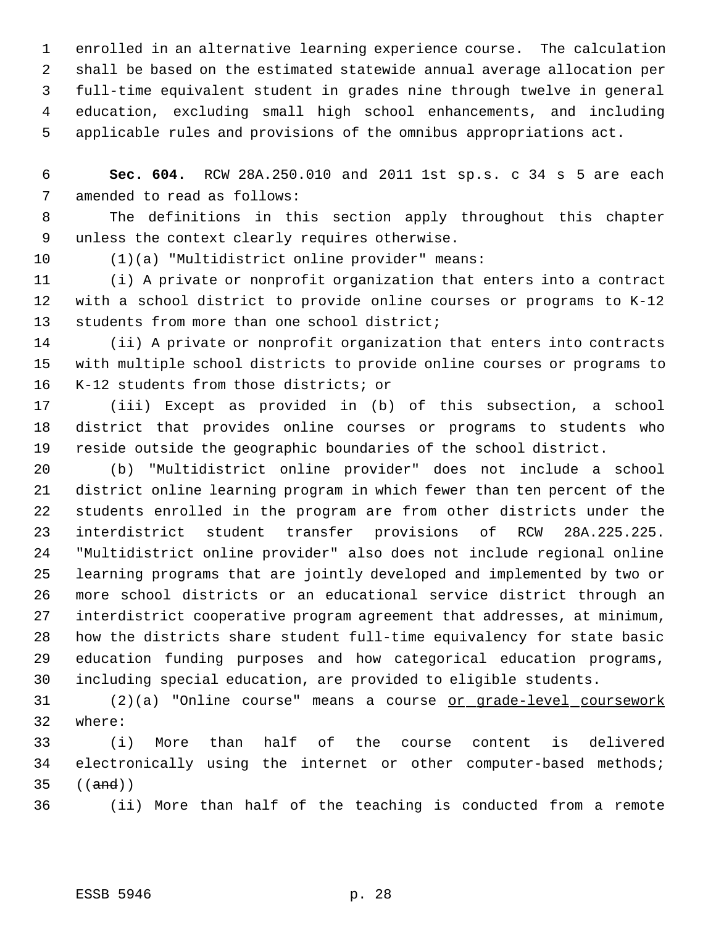enrolled in an alternative learning experience course. The calculation shall be based on the estimated statewide annual average allocation per full-time equivalent student in grades nine through twelve in general education, excluding small high school enhancements, and including applicable rules and provisions of the omnibus appropriations act.

 **Sec. 604.** RCW 28A.250.010 and 2011 1st sp.s. c 34 s 5 are each amended to read as follows:

 The definitions in this section apply throughout this chapter unless the context clearly requires otherwise.

(1)(a) "Multidistrict online provider" means:

 (i) A private or nonprofit organization that enters into a contract with a school district to provide online courses or programs to K-12 students from more than one school district;

 (ii) A private or nonprofit organization that enters into contracts with multiple school districts to provide online courses or programs to K-12 students from those districts; or

 (iii) Except as provided in (b) of this subsection, a school district that provides online courses or programs to students who reside outside the geographic boundaries of the school district.

 (b) "Multidistrict online provider" does not include a school district online learning program in which fewer than ten percent of the students enrolled in the program are from other districts under the interdistrict student transfer provisions of RCW 28A.225.225. "Multidistrict online provider" also does not include regional online learning programs that are jointly developed and implemented by two or more school districts or an educational service district through an interdistrict cooperative program agreement that addresses, at minimum, how the districts share student full-time equivalency for state basic education funding purposes and how categorical education programs, including special education, are provided to eligible students.

 (2)(a) "Online course" means a course or grade-level coursework where:

 (i) More than half of the course content is delivered 34 electronically using the internet or other computer-based methods; ((and))

(ii) More than half of the teaching is conducted from a remote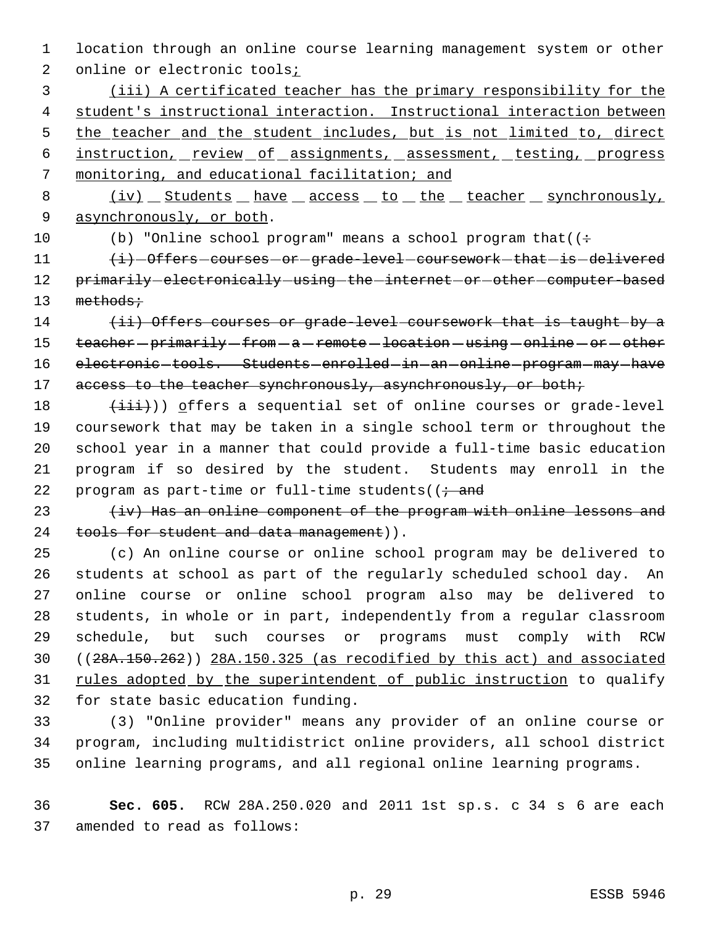1 location through an online course learning management system or other 2 online or electronic tools<sub>i</sub>

 (iii) A certificated teacher has the primary responsibility for the student's instructional interaction. Instructional interaction between 5 the teacher and the student includes, but is not limited to, direct instruction, review of assignments, assessment, testing, progress monitoring, and educational facilitation; and

8 (iv) Students have access to the teacher synchronously, 9 asynchronously, or both.

10 (b) "Online school program" means a school program that  $($ :

11  $\langle i\rangle$  -Offers courses or grade-level coursework that is delivered 12 primarily-electronically-using-the-internet-or-other-computer-based 13 methods;

14 (ii) Offers courses or grade-level coursework that is taught by a 15 teacher - primarily - from - a - remote - location - using - online - or - other 16 electronic-tools. Students-enrolled-in-an-online-program-may-have 17 access to the teacher synchronously, asynchronously, or both;

 $(iii)$ ) offers a sequential set of online courses or grade-level coursework that may be taken in a single school term or throughout the school year in a manner that could provide a full-time basic education program if so desired by the student. Students may enroll in the 22 program as part-time or full-time students  $(i + and)$ 

23  $\{iv\}$  Has an online component of the program with online lessons and 24 tools for student and data management)).

 (c) An online course or online school program may be delivered to students at school as part of the regularly scheduled school day. An online course or online school program also may be delivered to students, in whole or in part, independently from a regular classroom schedule, but such courses or programs must comply with RCW ((28A.150.262)) 28A.150.325 (as recodified by this act) and associated 31 rules adopted by the superintendent of public instruction to qualify for state basic education funding.

33 (3) "Online provider" means any provider of an online course or 34 program, including multidistrict online providers, all school district 35 online learning programs, and all regional online learning programs.

36 **Sec. 605.** RCW 28A.250.020 and 2011 1st sp.s. c 34 s 6 are each 37 amended to read as follows: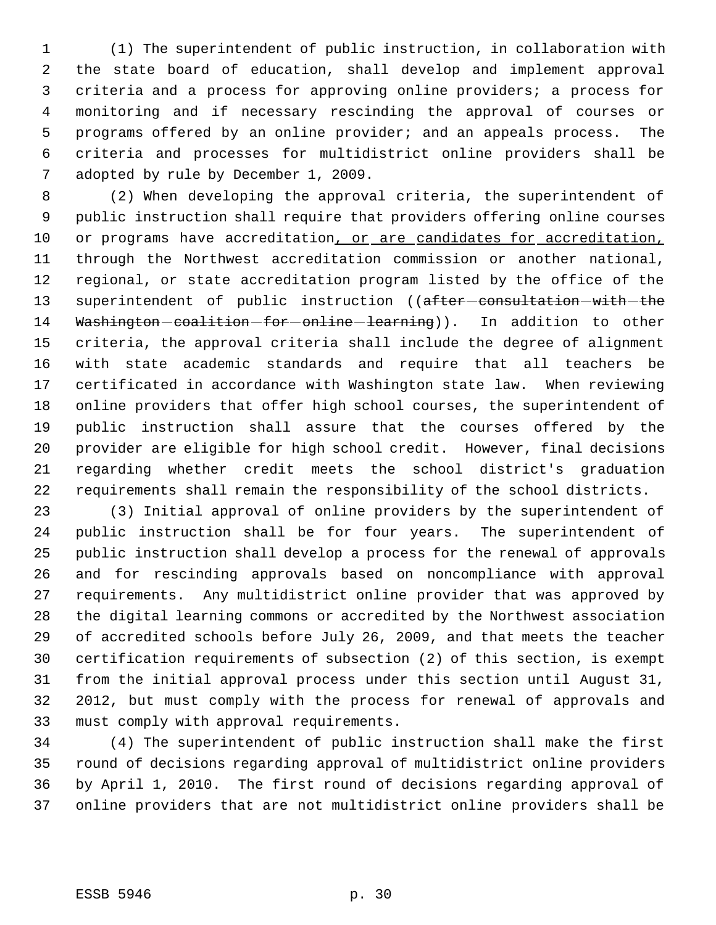(1) The superintendent of public instruction, in collaboration with the state board of education, shall develop and implement approval criteria and a process for approving online providers; a process for monitoring and if necessary rescinding the approval of courses or programs offered by an online provider; and an appeals process. The criteria and processes for multidistrict online providers shall be adopted by rule by December 1, 2009.

 (2) When developing the approval criteria, the superintendent of public instruction shall require that providers offering online courses 10 or programs have accreditation, or are candidates for accreditation, through the Northwest accreditation commission or another national, regional, or state accreditation program listed by the office of the 13 superintendent of public instruction ((after-consultation-with-the 14 Washington-coalition-for-online-learning)). In addition to other criteria, the approval criteria shall include the degree of alignment with state academic standards and require that all teachers be certificated in accordance with Washington state law. When reviewing online providers that offer high school courses, the superintendent of public instruction shall assure that the courses offered by the provider are eligible for high school credit. However, final decisions regarding whether credit meets the school district's graduation requirements shall remain the responsibility of the school districts.

 (3) Initial approval of online providers by the superintendent of public instruction shall be for four years. The superintendent of public instruction shall develop a process for the renewal of approvals and for rescinding approvals based on noncompliance with approval requirements. Any multidistrict online provider that was approved by the digital learning commons or accredited by the Northwest association of accredited schools before July 26, 2009, and that meets the teacher certification requirements of subsection (2) of this section, is exempt from the initial approval process under this section until August 31, 2012, but must comply with the process for renewal of approvals and must comply with approval requirements.

 (4) The superintendent of public instruction shall make the first round of decisions regarding approval of multidistrict online providers by April 1, 2010. The first round of decisions regarding approval of online providers that are not multidistrict online providers shall be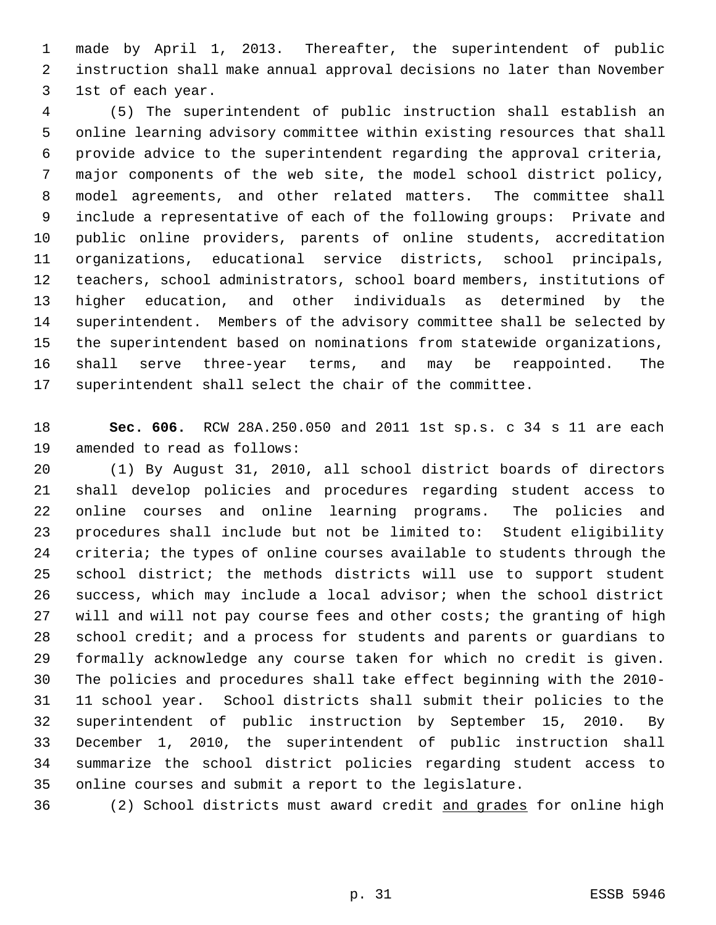made by April 1, 2013. Thereafter, the superintendent of public instruction shall make annual approval decisions no later than November 1st of each year.

 (5) The superintendent of public instruction shall establish an online learning advisory committee within existing resources that shall provide advice to the superintendent regarding the approval criteria, major components of the web site, the model school district policy, model agreements, and other related matters. The committee shall include a representative of each of the following groups: Private and public online providers, parents of online students, accreditation organizations, educational service districts, school principals, teachers, school administrators, school board members, institutions of higher education, and other individuals as determined by the superintendent. Members of the advisory committee shall be selected by the superintendent based on nominations from statewide organizations, shall serve three-year terms, and may be reappointed. The superintendent shall select the chair of the committee.

 **Sec. 606.** RCW 28A.250.050 and 2011 1st sp.s. c 34 s 11 are each amended to read as follows:

 (1) By August 31, 2010, all school district boards of directors shall develop policies and procedures regarding student access to online courses and online learning programs. The policies and procedures shall include but not be limited to: Student eligibility criteria; the types of online courses available to students through the school district; the methods districts will use to support student success, which may include a local advisor; when the school district will and will not pay course fees and other costs; the granting of high school credit; and a process for students and parents or guardians to formally acknowledge any course taken for which no credit is given. The policies and procedures shall take effect beginning with the 2010- 11 school year. School districts shall submit their policies to the superintendent of public instruction by September 15, 2010. By December 1, 2010, the superintendent of public instruction shall summarize the school district policies regarding student access to online courses and submit a report to the legislature.

(2) School districts must award credit and grades for online high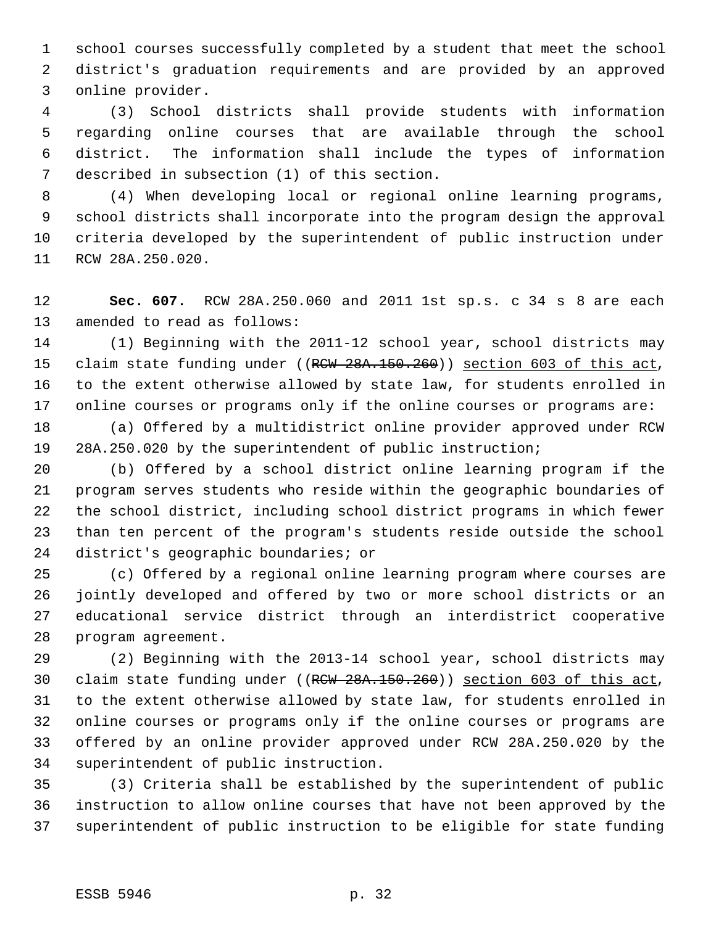school courses successfully completed by a student that meet the school district's graduation requirements and are provided by an approved online provider.

 (3) School districts shall provide students with information regarding online courses that are available through the school district. The information shall include the types of information described in subsection (1) of this section.

 (4) When developing local or regional online learning programs, school districts shall incorporate into the program design the approval criteria developed by the superintendent of public instruction under RCW 28A.250.020.

 **Sec. 607.** RCW 28A.250.060 and 2011 1st sp.s. c 34 s 8 are each amended to read as follows:

 (1) Beginning with the 2011-12 school year, school districts may 15 claim state funding under ((RCW 28A.150.260)) section 603 of this act, to the extent otherwise allowed by state law, for students enrolled in 17 online courses or programs only if the online courses or programs are:

 (a) Offered by a multidistrict online provider approved under RCW 28A.250.020 by the superintendent of public instruction;

 (b) Offered by a school district online learning program if the program serves students who reside within the geographic boundaries of the school district, including school district programs in which fewer than ten percent of the program's students reside outside the school district's geographic boundaries; or

 (c) Offered by a regional online learning program where courses are jointly developed and offered by two or more school districts or an educational service district through an interdistrict cooperative program agreement.

 (2) Beginning with the 2013-14 school year, school districts may 30 claim state funding under ((RCW 28A.150.260)) section 603 of this act, to the extent otherwise allowed by state law, for students enrolled in online courses or programs only if the online courses or programs are offered by an online provider approved under RCW 28A.250.020 by the superintendent of public instruction.

 (3) Criteria shall be established by the superintendent of public instruction to allow online courses that have not been approved by the superintendent of public instruction to be eligible for state funding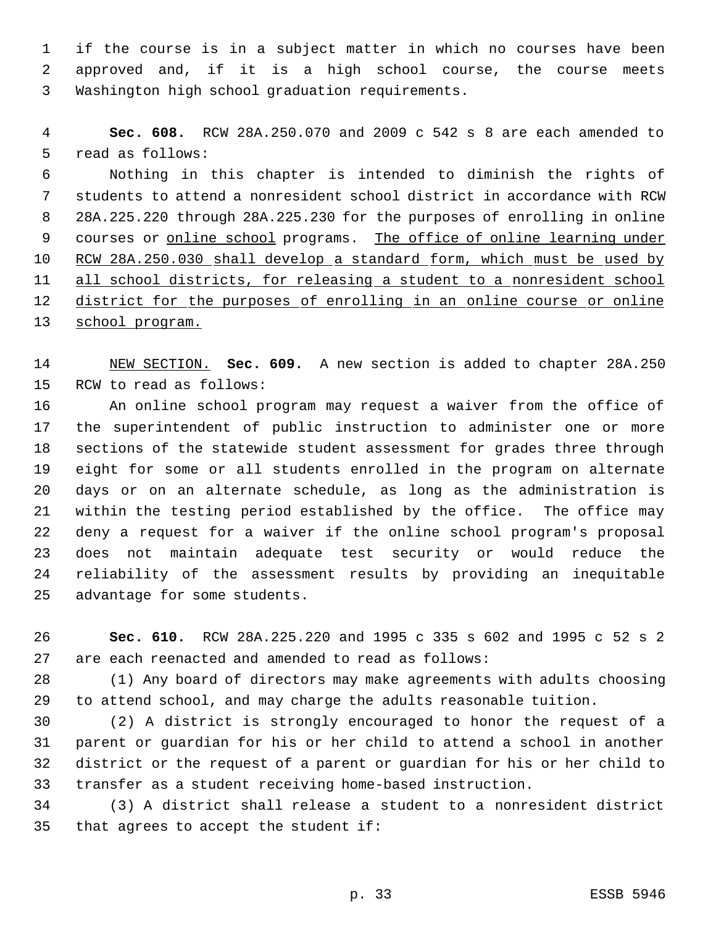if the course is in a subject matter in which no courses have been approved and, if it is a high school course, the course meets Washington high school graduation requirements.

 **Sec. 608.** RCW 28A.250.070 and 2009 c 542 s 8 are each amended to read as follows:

 Nothing in this chapter is intended to diminish the rights of students to attend a nonresident school district in accordance with RCW 28A.225.220 through 28A.225.230 for the purposes of enrolling in online 9 courses or online school programs. The office of online learning under RCW 28A.250.030 shall develop a standard form, which must be used by 11 all school districts, for releasing a student to a nonresident school 12 district for the purposes of enrolling in an online course or online school program.

 NEW SECTION. **Sec. 609.** A new section is added to chapter 28A.250 RCW to read as follows:

 An online school program may request a waiver from the office of the superintendent of public instruction to administer one or more sections of the statewide student assessment for grades three through eight for some or all students enrolled in the program on alternate days or on an alternate schedule, as long as the administration is within the testing period established by the office. The office may deny a request for a waiver if the online school program's proposal does not maintain adequate test security or would reduce the reliability of the assessment results by providing an inequitable advantage for some students.

 **Sec. 610.** RCW 28A.225.220 and 1995 c 335 s 602 and 1995 c 52 s 2 are each reenacted and amended to read as follows:

 (1) Any board of directors may make agreements with adults choosing to attend school, and may charge the adults reasonable tuition.

 (2) A district is strongly encouraged to honor the request of a parent or guardian for his or her child to attend a school in another district or the request of a parent or guardian for his or her child to transfer as a student receiving home-based instruction.

 (3) A district shall release a student to a nonresident district that agrees to accept the student if: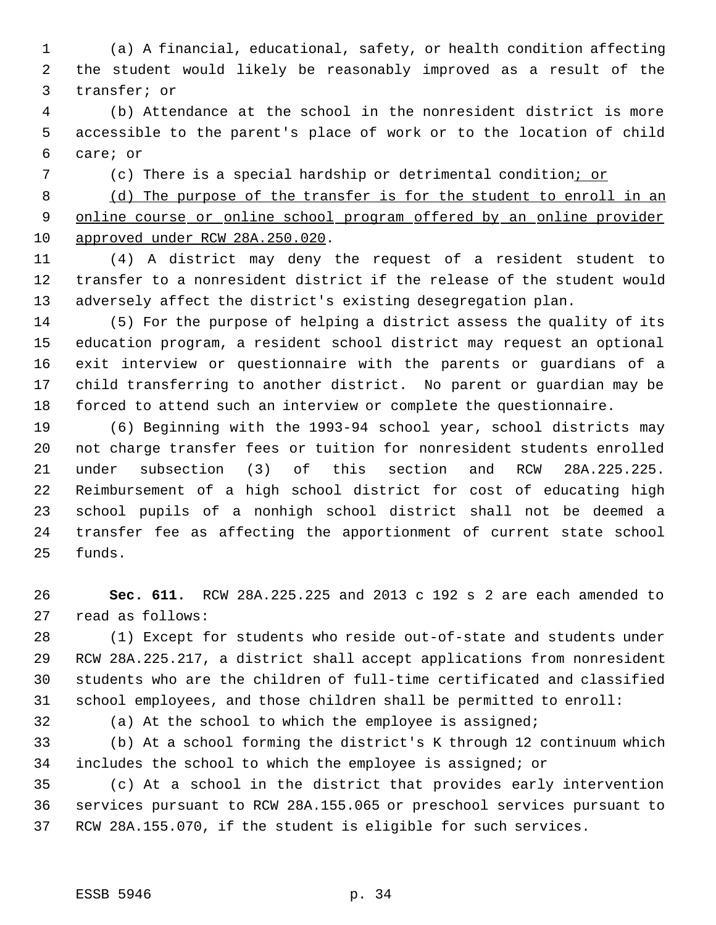(a) A financial, educational, safety, or health condition affecting the student would likely be reasonably improved as a result of the transfer; or

 (b) Attendance at the school in the nonresident district is more accessible to the parent's place of work or to the location of child care; or

(c) There is a special hardship or detrimental condition; or

 (d) The purpose of the transfer is for the student to enroll in an online course or online school program offered by an online provider approved under RCW 28A.250.020.

 (4) A district may deny the request of a resident student to transfer to a nonresident district if the release of the student would adversely affect the district's existing desegregation plan.

 (5) For the purpose of helping a district assess the quality of its education program, a resident school district may request an optional exit interview or questionnaire with the parents or guardians of a child transferring to another district. No parent or guardian may be forced to attend such an interview or complete the questionnaire.

 (6) Beginning with the 1993-94 school year, school districts may not charge transfer fees or tuition for nonresident students enrolled under subsection (3) of this section and RCW 28A.225.225. Reimbursement of a high school district for cost of educating high school pupils of a nonhigh school district shall not be deemed a transfer fee as affecting the apportionment of current state school funds.

 **Sec. 611.** RCW 28A.225.225 and 2013 c 192 s 2 are each amended to read as follows:

 (1) Except for students who reside out-of-state and students under RCW 28A.225.217, a district shall accept applications from nonresident students who are the children of full-time certificated and classified school employees, and those children shall be permitted to enroll:

(a) At the school to which the employee is assigned;

 (b) At a school forming the district's K through 12 continuum which includes the school to which the employee is assigned; or

 (c) At a school in the district that provides early intervention services pursuant to RCW 28A.155.065 or preschool services pursuant to RCW 28A.155.070, if the student is eligible for such services.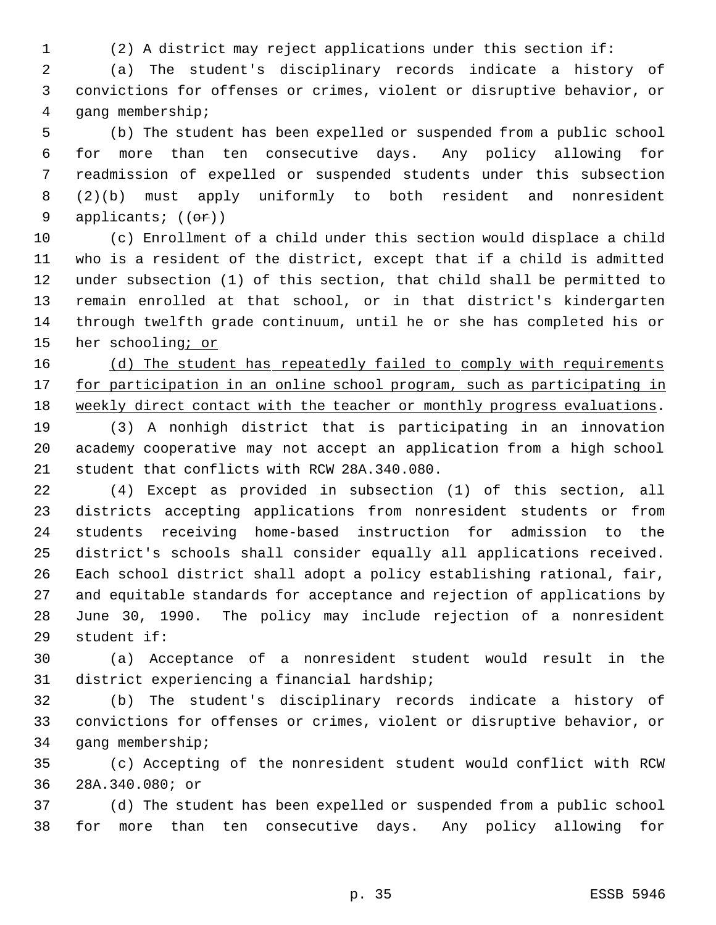(2) A district may reject applications under this section if:

 (a) The student's disciplinary records indicate a history of convictions for offenses or crimes, violent or disruptive behavior, or gang membership;

 (b) The student has been expelled or suspended from a public school for more than ten consecutive days. Any policy allowing for readmission of expelled or suspended students under this subsection (2)(b) must apply uniformly to both resident and nonresident 9 applicants; ((or))

 (c) Enrollment of a child under this section would displace a child who is a resident of the district, except that if a child is admitted under subsection (1) of this section, that child shall be permitted to remain enrolled at that school, or in that district's kindergarten through twelfth grade continuum, until he or she has completed his or 15 her schooling; or

16 (d) The student has repeatedly failed to comply with requirements 17 for participation in an online school program, such as participating in 18 weekly direct contact with the teacher or monthly progress evaluations.

 (3) A nonhigh district that is participating in an innovation academy cooperative may not accept an application from a high school student that conflicts with RCW 28A.340.080.

 (4) Except as provided in subsection (1) of this section, all districts accepting applications from nonresident students or from students receiving home-based instruction for admission to the district's schools shall consider equally all applications received. Each school district shall adopt a policy establishing rational, fair, and equitable standards for acceptance and rejection of applications by June 30, 1990. The policy may include rejection of a nonresident student if:

 (a) Acceptance of a nonresident student would result in the district experiencing a financial hardship;

 (b) The student's disciplinary records indicate a history of convictions for offenses or crimes, violent or disruptive behavior, or gang membership;

 (c) Accepting of the nonresident student would conflict with RCW 28A.340.080; or

 (d) The student has been expelled or suspended from a public school for more than ten consecutive days. Any policy allowing for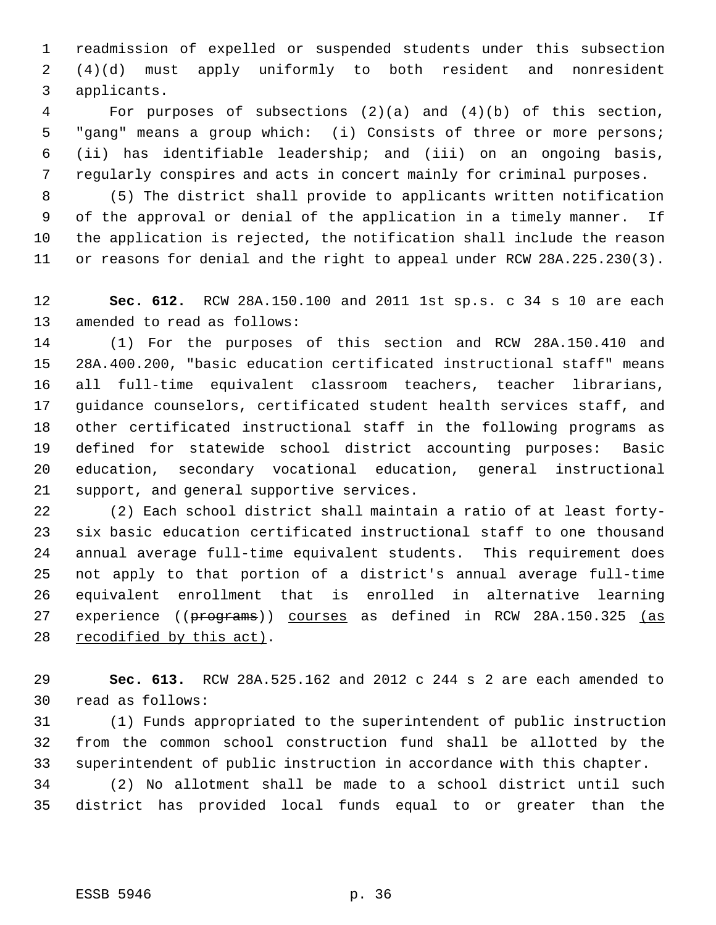readmission of expelled or suspended students under this subsection (4)(d) must apply uniformly to both resident and nonresident applicants.

 For purposes of subsections (2)(a) and (4)(b) of this section, "gang" means a group which: (i) Consists of three or more persons; (ii) has identifiable leadership; and (iii) on an ongoing basis, regularly conspires and acts in concert mainly for criminal purposes.

 (5) The district shall provide to applicants written notification of the approval or denial of the application in a timely manner. If the application is rejected, the notification shall include the reason or reasons for denial and the right to appeal under RCW 28A.225.230(3).

 **Sec. 612.** RCW 28A.150.100 and 2011 1st sp.s. c 34 s 10 are each amended to read as follows:

 (1) For the purposes of this section and RCW 28A.150.410 and 28A.400.200, "basic education certificated instructional staff" means all full-time equivalent classroom teachers, teacher librarians, guidance counselors, certificated student health services staff, and other certificated instructional staff in the following programs as defined for statewide school district accounting purposes: Basic education, secondary vocational education, general instructional support, and general supportive services.

 (2) Each school district shall maintain a ratio of at least forty- six basic education certificated instructional staff to one thousand annual average full-time equivalent students. This requirement does not apply to that portion of a district's annual average full-time equivalent enrollment that is enrolled in alternative learning 27 experience ((programs)) courses as defined in RCW 28A.150.325 (as 28 recodified by this act).

 **Sec. 613.** RCW 28A.525.162 and 2012 c 244 s 2 are each amended to read as follows:

 (1) Funds appropriated to the superintendent of public instruction from the common school construction fund shall be allotted by the superintendent of public instruction in accordance with this chapter.

 (2) No allotment shall be made to a school district until such district has provided local funds equal to or greater than the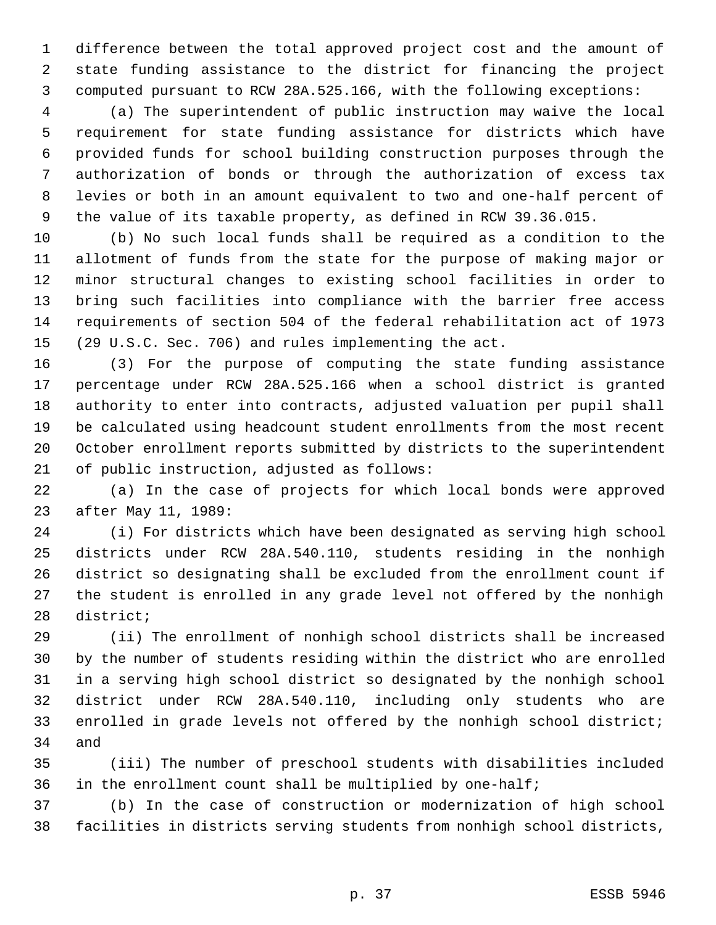difference between the total approved project cost and the amount of state funding assistance to the district for financing the project computed pursuant to RCW 28A.525.166, with the following exceptions:

 (a) The superintendent of public instruction may waive the local requirement for state funding assistance for districts which have provided funds for school building construction purposes through the authorization of bonds or through the authorization of excess tax levies or both in an amount equivalent to two and one-half percent of the value of its taxable property, as defined in RCW 39.36.015.

 (b) No such local funds shall be required as a condition to the allotment of funds from the state for the purpose of making major or minor structural changes to existing school facilities in order to bring such facilities into compliance with the barrier free access requirements of section 504 of the federal rehabilitation act of 1973 (29 U.S.C. Sec. 706) and rules implementing the act.

 (3) For the purpose of computing the state funding assistance percentage under RCW 28A.525.166 when a school district is granted authority to enter into contracts, adjusted valuation per pupil shall be calculated using headcount student enrollments from the most recent October enrollment reports submitted by districts to the superintendent of public instruction, adjusted as follows:

 (a) In the case of projects for which local bonds were approved after May 11, 1989:

 (i) For districts which have been designated as serving high school districts under RCW 28A.540.110, students residing in the nonhigh district so designating shall be excluded from the enrollment count if the student is enrolled in any grade level not offered by the nonhigh district;

 (ii) The enrollment of nonhigh school districts shall be increased by the number of students residing within the district who are enrolled in a serving high school district so designated by the nonhigh school district under RCW 28A.540.110, including only students who are enrolled in grade levels not offered by the nonhigh school district; and

 (iii) The number of preschool students with disabilities included in the enrollment count shall be multiplied by one-half;

 (b) In the case of construction or modernization of high school facilities in districts serving students from nonhigh school districts,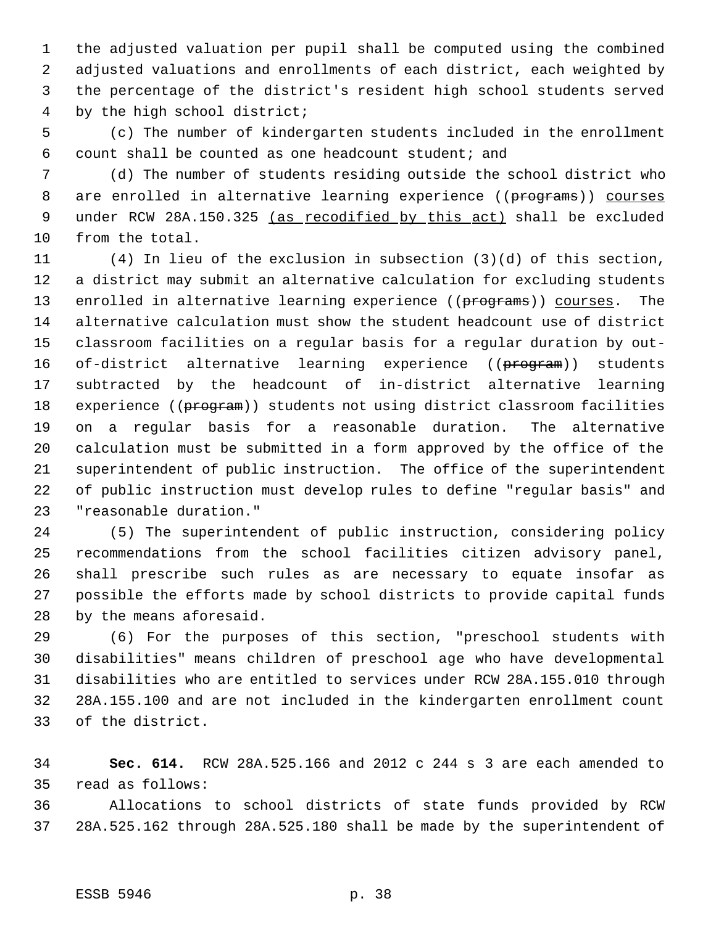the adjusted valuation per pupil shall be computed using the combined adjusted valuations and enrollments of each district, each weighted by the percentage of the district's resident high school students served by the high school district;

 (c) The number of kindergarten students included in the enrollment count shall be counted as one headcount student; and

 (d) The number of students residing outside the school district who 8 are enrolled in alternative learning experience ((programs)) courses 9 under RCW 28A.150.325 (as recodified by this act) shall be excluded from the total.

 (4) In lieu of the exclusion in subsection (3)(d) of this section, a district may submit an alternative calculation for excluding students 13 enrolled in alternative learning experience ((programs)) courses. The alternative calculation must show the student headcount use of district classroom facilities on a regular basis for a regular duration by out-16 of-district alternative learning experience ((program)) students subtracted by the headcount of in-district alternative learning 18 experience ((program)) students not using district classroom facilities on a regular basis for a reasonable duration. The alternative calculation must be submitted in a form approved by the office of the superintendent of public instruction. The office of the superintendent of public instruction must develop rules to define "regular basis" and "reasonable duration."

 (5) The superintendent of public instruction, considering policy recommendations from the school facilities citizen advisory panel, shall prescribe such rules as are necessary to equate insofar as possible the efforts made by school districts to provide capital funds by the means aforesaid.

 (6) For the purposes of this section, "preschool students with disabilities" means children of preschool age who have developmental disabilities who are entitled to services under RCW 28A.155.010 through 28A.155.100 and are not included in the kindergarten enrollment count of the district.

 **Sec. 614.** RCW 28A.525.166 and 2012 c 244 s 3 are each amended to read as follows:

 Allocations to school districts of state funds provided by RCW 28A.525.162 through 28A.525.180 shall be made by the superintendent of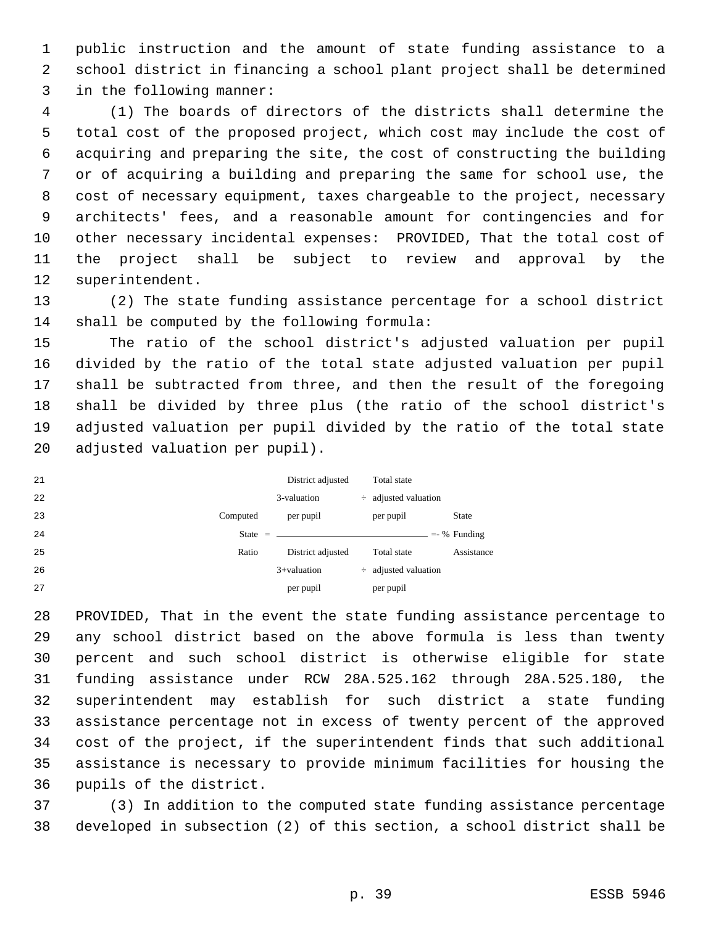public instruction and the amount of state funding assistance to a school district in financing a school plant project shall be determined in the following manner:

 (1) The boards of directors of the districts shall determine the total cost of the proposed project, which cost may include the cost of acquiring and preparing the site, the cost of constructing the building or of acquiring a building and preparing the same for school use, the cost of necessary equipment, taxes chargeable to the project, necessary architects' fees, and a reasonable amount for contingencies and for other necessary incidental expenses: PROVIDED, That the total cost of the project shall be subject to review and approval by the superintendent.

 (2) The state funding assistance percentage for a school district shall be computed by the following formula:

 The ratio of the school district's adjusted valuation per pupil divided by the ratio of the total state adjusted valuation per pupil shall be subtracted from three, and then the result of the foregoing shall be divided by three plus (the ratio of the school district's adjusted valuation per pupil divided by the ratio of the total state adjusted valuation per pupil).

| 21 |           | District adjusted | Total state               |               |
|----|-----------|-------------------|---------------------------|---------------|
| 22 |           | 3-valuation       | $\div$ adjusted valuation |               |
| 23 | Computed  | per pupil         | per pupil                 | <b>State</b>  |
| 24 | State $=$ |                   |                           | $=$ % Funding |
| 25 | Ratio     | District adjusted | Total state               | Assistance    |
| 26 |           | $3 +$ valuation   | $\div$ adjusted valuation |               |
| 27 |           | per pupil         | per pupil                 |               |

 PROVIDED, That in the event the state funding assistance percentage to any school district based on the above formula is less than twenty percent and such school district is otherwise eligible for state funding assistance under RCW 28A.525.162 through 28A.525.180, the superintendent may establish for such district a state funding assistance percentage not in excess of twenty percent of the approved cost of the project, if the superintendent finds that such additional assistance is necessary to provide minimum facilities for housing the pupils of the district.

 (3) In addition to the computed state funding assistance percentage developed in subsection (2) of this section, a school district shall be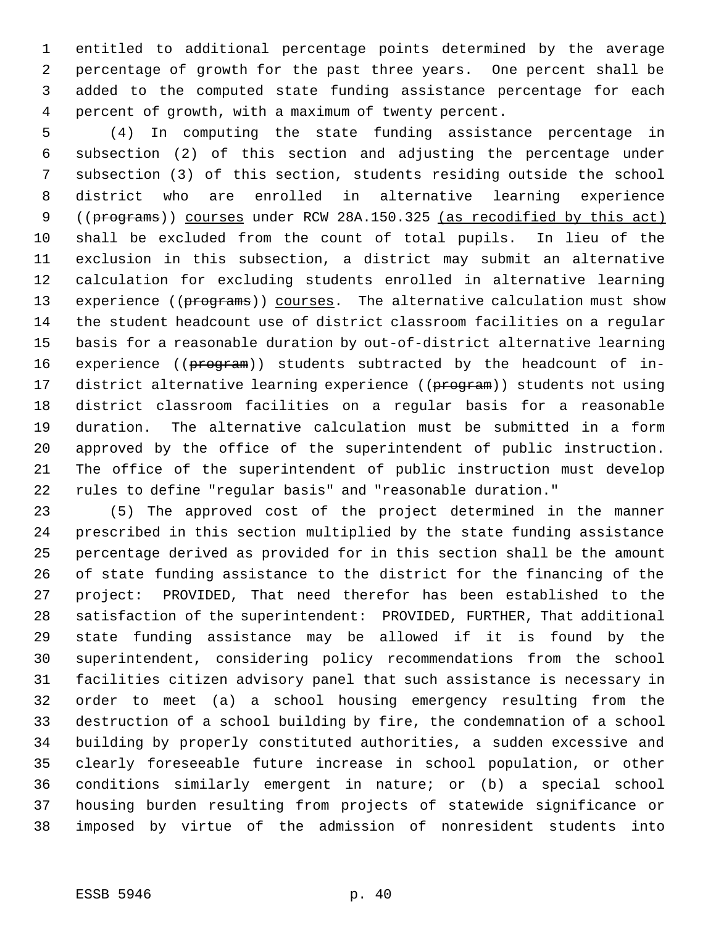entitled to additional percentage points determined by the average percentage of growth for the past three years. One percent shall be added to the computed state funding assistance percentage for each percent of growth, with a maximum of twenty percent.

 (4) In computing the state funding assistance percentage in subsection (2) of this section and adjusting the percentage under subsection (3) of this section, students residing outside the school district who are enrolled in alternative learning experience 9 ((programs)) courses under RCW 28A.150.325 (as recodified by this act) shall be excluded from the count of total pupils. In lieu of the exclusion in this subsection, a district may submit an alternative calculation for excluding students enrolled in alternative learning 13 experience ((programs)) courses. The alternative calculation must show the student headcount use of district classroom facilities on a regular basis for a reasonable duration by out-of-district alternative learning 16 experience ((program)) students subtracted by the headcount of in-17 district alternative learning experience ((program)) students not using district classroom facilities on a regular basis for a reasonable duration. The alternative calculation must be submitted in a form approved by the office of the superintendent of public instruction. The office of the superintendent of public instruction must develop rules to define "regular basis" and "reasonable duration."

 (5) The approved cost of the project determined in the manner prescribed in this section multiplied by the state funding assistance percentage derived as provided for in this section shall be the amount of state funding assistance to the district for the financing of the project: PROVIDED, That need therefor has been established to the satisfaction of the superintendent: PROVIDED, FURTHER, That additional state funding assistance may be allowed if it is found by the superintendent, considering policy recommendations from the school facilities citizen advisory panel that such assistance is necessary in order to meet (a) a school housing emergency resulting from the destruction of a school building by fire, the condemnation of a school building by properly constituted authorities, a sudden excessive and clearly foreseeable future increase in school population, or other conditions similarly emergent in nature; or (b) a special school housing burden resulting from projects of statewide significance or imposed by virtue of the admission of nonresident students into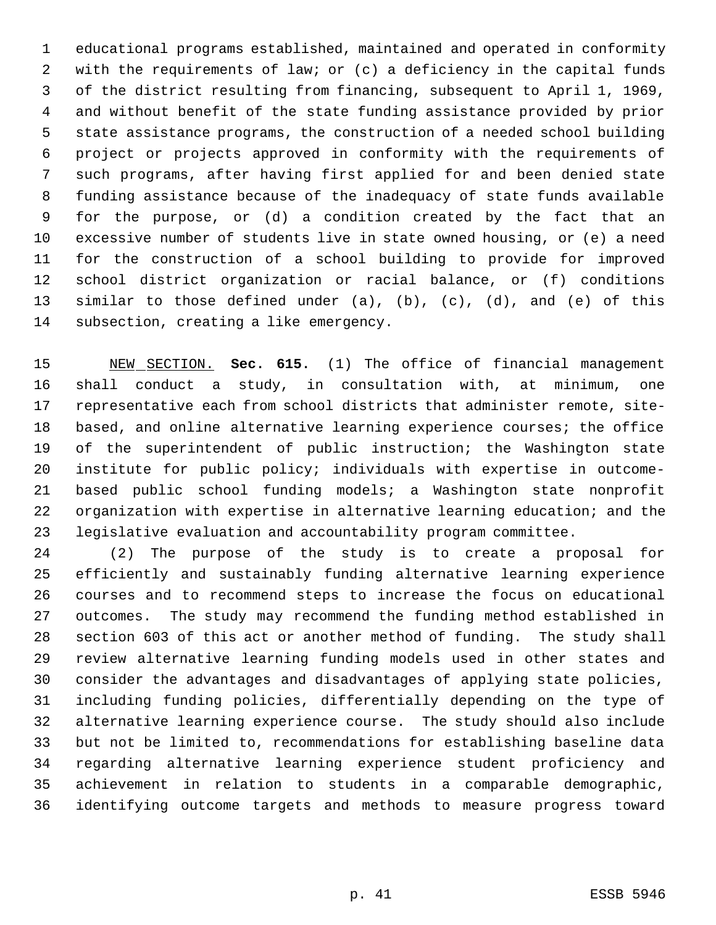educational programs established, maintained and operated in conformity with the requirements of law; or (c) a deficiency in the capital funds of the district resulting from financing, subsequent to April 1, 1969, and without benefit of the state funding assistance provided by prior state assistance programs, the construction of a needed school building project or projects approved in conformity with the requirements of such programs, after having first applied for and been denied state funding assistance because of the inadequacy of state funds available for the purpose, or (d) a condition created by the fact that an excessive number of students live in state owned housing, or (e) a need for the construction of a school building to provide for improved school district organization or racial balance, or (f) conditions similar to those defined under (a), (b), (c), (d), and (e) of this subsection, creating a like emergency.

 NEW SECTION. **Sec. 615.** (1) The office of financial management shall conduct a study, in consultation with, at minimum, one representative each from school districts that administer remote, site- based, and online alternative learning experience courses; the office of the superintendent of public instruction; the Washington state institute for public policy; individuals with expertise in outcome- based public school funding models; a Washington state nonprofit organization with expertise in alternative learning education; and the legislative evaluation and accountability program committee.

 (2) The purpose of the study is to create a proposal for efficiently and sustainably funding alternative learning experience courses and to recommend steps to increase the focus on educational outcomes. The study may recommend the funding method established in section 603 of this act or another method of funding. The study shall review alternative learning funding models used in other states and consider the advantages and disadvantages of applying state policies, including funding policies, differentially depending on the type of alternative learning experience course. The study should also include but not be limited to, recommendations for establishing baseline data regarding alternative learning experience student proficiency and achievement in relation to students in a comparable demographic, identifying outcome targets and methods to measure progress toward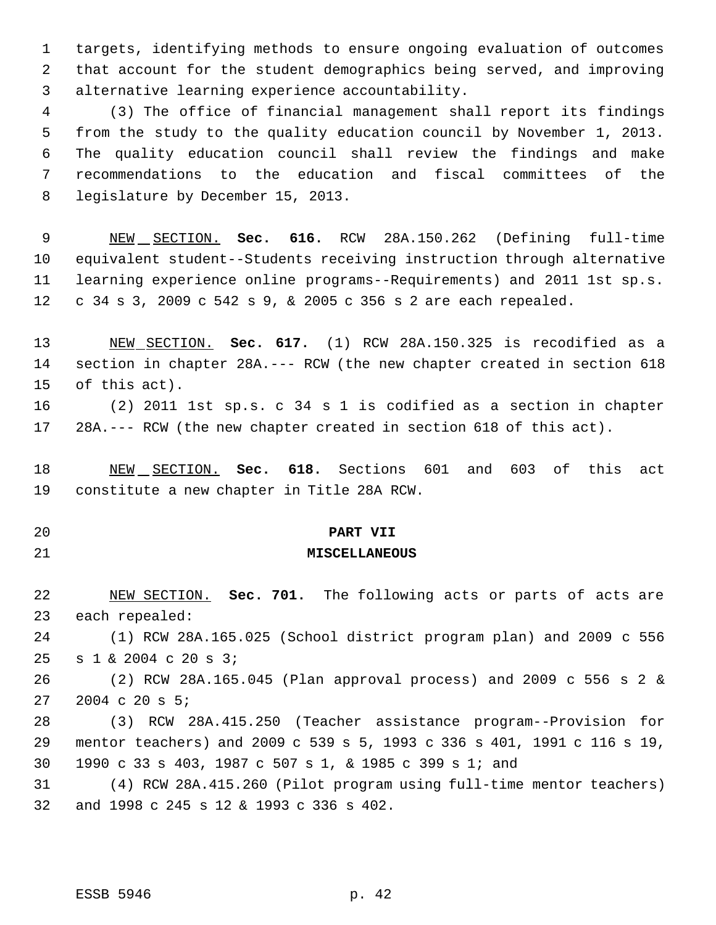targets, identifying methods to ensure ongoing evaluation of outcomes that account for the student demographics being served, and improving alternative learning experience accountability.

 (3) The office of financial management shall report its findings from the study to the quality education council by November 1, 2013. The quality education council shall review the findings and make recommendations to the education and fiscal committees of the legislature by December 15, 2013.

 NEW SECTION. **Sec. 616.** RCW 28A.150.262 (Defining full-time equivalent student--Students receiving instruction through alternative learning experience online programs--Requirements) and 2011 1st sp.s. c 34 s 3, 2009 c 542 s 9, & 2005 c 356 s 2 are each repealed.

 NEW SECTION. **Sec. 617.** (1) RCW 28A.150.325 is recodified as a section in chapter 28A.--- RCW (the new chapter created in section 618 of this act).

 (2) 2011 1st sp.s. c 34 s 1 is codified as a section in chapter 28A.--- RCW (the new chapter created in section 618 of this act).

 NEW SECTION. **Sec. 618.** Sections 601 and 603 of this act constitute a new chapter in Title 28A RCW.

**PART VII**

#### **MISCELLANEOUS**

 NEW SECTION. **Sec. 701.** The following acts or parts of acts are each repealed:

 (1) RCW 28A.165.025 (School district program plan) and 2009 c 556 s 1 & 2004 c 20 s 3;

 (2) RCW 28A.165.045 (Plan approval process) and 2009 c 556 s 2 & 2004 c 20 s 5;

 (3) RCW 28A.415.250 (Teacher assistance program--Provision for mentor teachers) and 2009 c 539 s 5, 1993 c 336 s 401, 1991 c 116 s 19, 1990 c 33 s 403, 1987 c 507 s 1, & 1985 c 399 s 1; and

 (4) RCW 28A.415.260 (Pilot program using full-time mentor teachers) and 1998 c 245 s 12 & 1993 c 336 s 402.